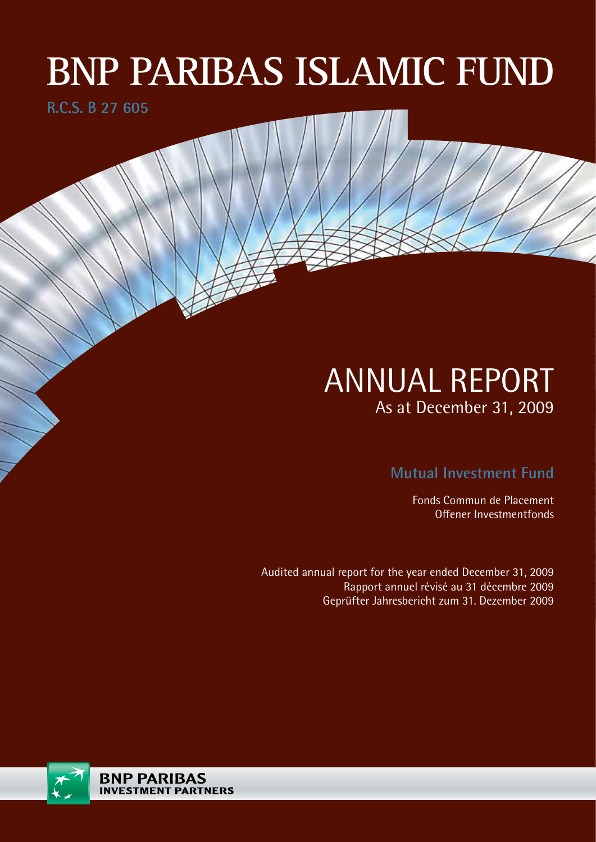# **BNP PARIBAS ISLAMIC FUND**

**R.C.S. B 27 605**

# ANNUAL REPORT As at December 31, 2009

**Mutual Investment Fund**

Fonds Commun de Placement Offener Investmentfonds

Audited annual report for the year ended December 31, 2009 Rapport annuel révisé au 31 décembre 2009 Geprüfter Jahresbericht zum 31. Dezember 2009

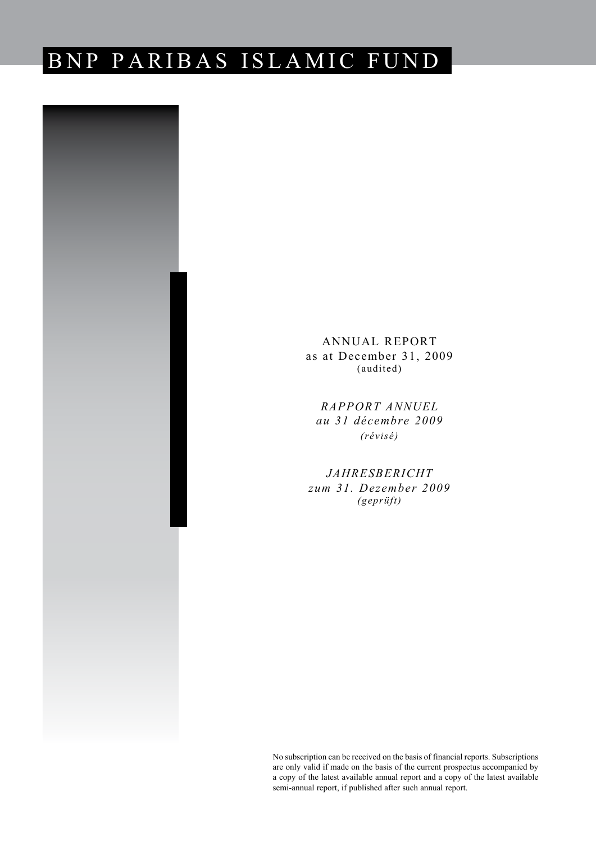# BNP PARIBAS ISLAMIC FUND



ANNUAL REPORT as at December 31, 2009 (audited)

*RAPPORT ANNUEL au 31 décembre 2009 (révisé)*

*JAHRESBERICHT zum 31. Dezember 2009 (geprüft)*

No subscription can be received on the basis of financial reports. Subscriptions are only valid if made on the basis of the current prospectus accompanied by a copy of the latest available annual report and a copy of the latest available semi-annual report, if published after such annual report.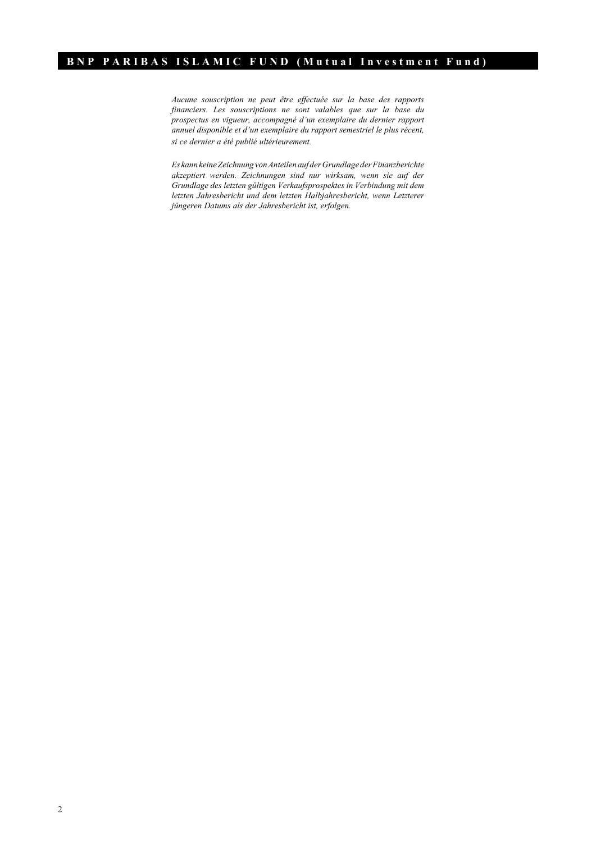*Aucune souscription ne peut être effectuée sur la base des rapports financiers. Les souscriptions ne sont valables que sur la base du prospectus en vigueur, accompagné d'un exemplaire du dernier rapport annuel disponible et d'un exemplaire du rapport semestriel le plus récent, si ce dernier a été publié ultérieurement.*

*Es kann keine Zeichnung von Anteilen auf der Grundlage der Finanzberichte akzeptiert werden. Zeichnungen sind nur wirksam, wenn sie auf der Grundlage des letzten gültigen Verkaufsprospektes in Verbindung mit dem letzten Jahresbericht und dem letzten Halbjahresbericht, wenn Letzterer jüngeren Datums als der Jahresbericht ist, erfolgen.*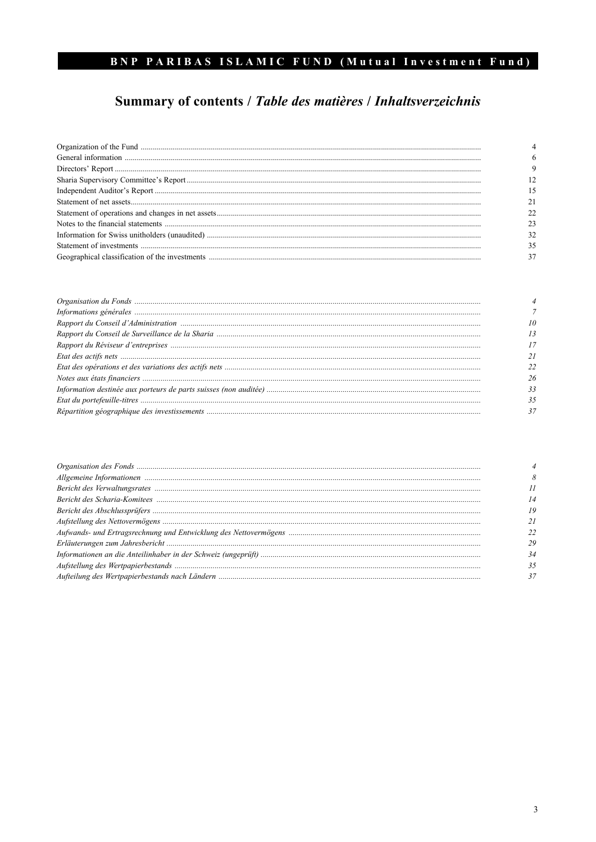# Summary of contents / Table des matières / Inhaltsverzeichnis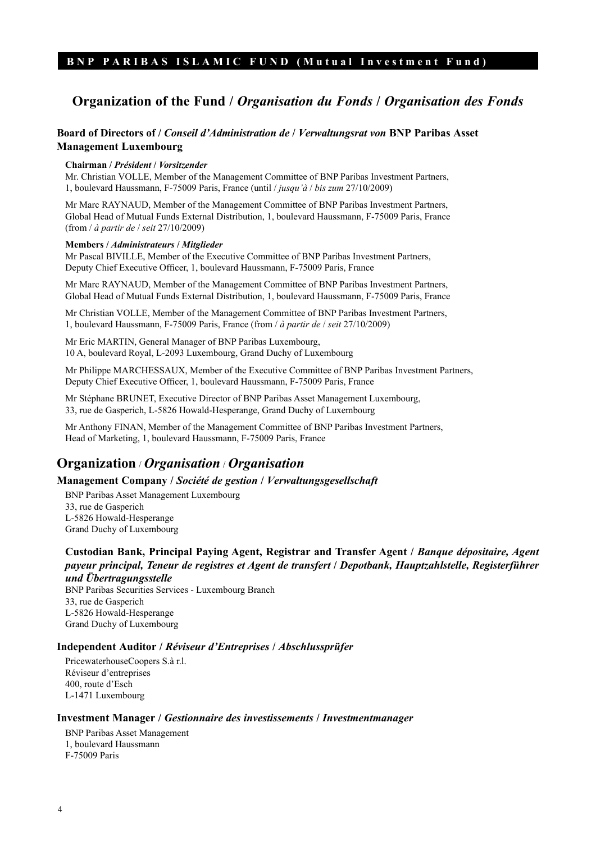# **Organization of the Fund /** *Organisation du Fonds* **/** *Organisation des Fonds*

#### **Board of Directors of /** *Conseil d'Administration de* **/** *Verwaltungsrat von* **BNP Paribas Asset Management Luxembourg**

#### **Chairman /** *Président* **/** *Vorsitzender*

Mr. Christian VOLLE, Member of the Management Committee of BNP Paribas Investment Partners, 1, boulevard Haussmann, F-75009 Paris, France (until / *jusqu'à* / *bis zum* 27/10/2009)

Mr Marc RAYNAUD, Member of the Management Committee of BNP Paribas Investment Partners, Global Head of Mutual Funds External Distribution, 1, boulevard Haussmann, F-75009 Paris, France (from / *à partir de* / *seit* 27/10/2009)

#### **Members /** *Administrateurs* **/** *Mitglieder*

Mr Pascal BIVILLE, Member of the Executive Committee of BNP Paribas Investment Partners, Deputy Chief Executive Officer, 1, boulevard Haussmann, F-75009 Paris, France

Mr Marc RAYNAUD, Member of the Management Committee of BNP Paribas Investment Partners, Global Head of Mutual Funds External Distribution, 1, boulevard Haussmann, F-75009 Paris, France

Mr Christian VOLLE, Member of the Management Committee of BNP Paribas Investment Partners, 1, boulevard Haussmann, F-75009 Paris, France (from / *à partir de* / *seit* 27/10/2009)

Mr Eric MARTIN, General Manager of BNP Paribas Luxembourg, 10 A, boulevard Royal, L-2093 Luxembourg, Grand Duchy of Luxembourg

Mr Philippe MARCHESSAUX, Member of the Executive Committee of BNP Paribas Investment Partners, Deputy Chief Executive Officer, 1, boulevard Haussmann, F-75009 Paris, France

Mr Stéphane BRUNET, Executive Director of BNP Paribas Asset Management Luxembourg, 33, rue de Gasperich, L-5826 Howald-Hesperange, Grand Duchy of Luxembourg

Mr Anthony FINAN, Member of the Management Committee of BNP Paribas Investment Partners, Head of Marketing, 1, boulevard Haussmann, F-75009 Paris, France

### **Organization** / *Organisation* / *Organisation*

#### **Management Company /** *Société de gestion* **/** *Verwaltungsgesellschaft*

BNP Paribas Asset Management Luxembourg 33, rue de Gasperich L-5826 Howald-Hesperange Grand Duchy of Luxembourg

**Custodian Bank, Principal Paying Agent, Registrar and Transfer Agent /** *Banque dépositaire, Agent payeur principal, Teneur de registres et Agent de transfert* **/** *Depotbank, Hauptzahlstelle, Registerführer und Übertragungsstelle*

BNP Paribas Securities Services - Luxembourg Branch 33, rue de Gasperich L-5826 Howald-Hesperange Grand Duchy of Luxembourg

#### **Independent Auditor /** *Réviseur d'Entreprises* **/** *Abschlussprüfer*

PricewaterhouseCoopers S.à r.l. Réviseur d'entreprises 400, route d'Esch L-1471 Luxembourg

#### **Investment Manager /** *Gestionnaire des investissements* **/** *Investmentmanager*

BNP Paribas Asset Management 1, boulevard Haussmann F-75009 Paris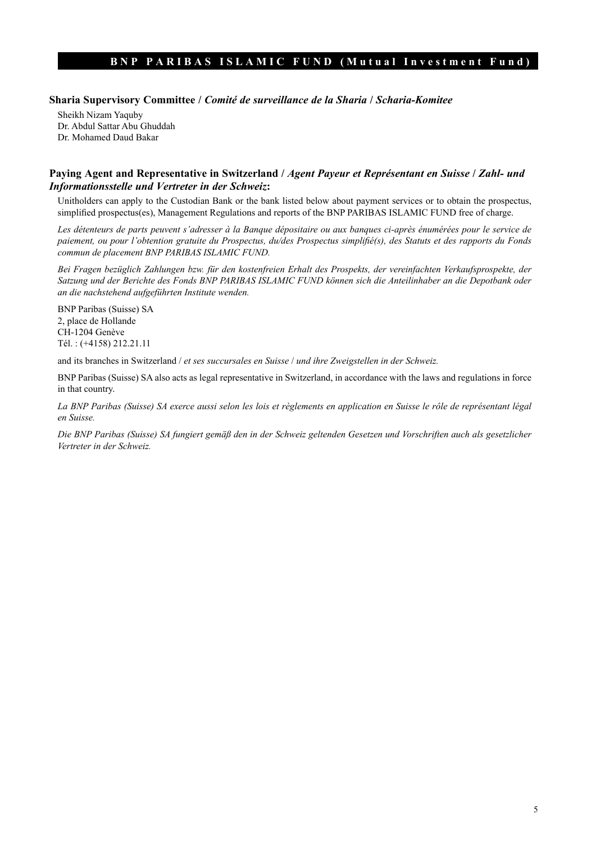#### **Sharia Supervisory Committee /** *Comité de surveillance de la Sharia* **/** *Scharia-Komitee*

Sheikh Nizam Yaquby Dr. Abdul Sattar Abu Ghuddah Dr. Mohamed Daud Bakar

#### **Paying Agent and Representative in Switzerland /** *Agent Payeur et Représentant en Suisse* **/** *Zahl- und Informationsstelle und Vertreter in der Schweiz***:**

Unitholders can apply to the Custodian Bank or the bank listed below about payment services or to obtain the prospectus, simplified prospectus(es), Management Regulations and reports of the BNP PARIBAS ISLAMIC FUND free of charge.

Les détenteurs de parts peuvent s'adresser à la Banque dépositaire ou aux banques ci-après énumérées pour le service de *paiement, ou pour l'obtention gratuite du Prospectus, du/des Prospectus simplifié(s), des Statuts et des rapports du Fonds commun de placement BNP PARIBAS ISLAMIC FUND.* 

*Bei Fragen bezüglich Zahlungen bzw. für den kostenfreien Erhalt des Prospekts, der vereinfachten Verkaufsprospekte, der Satzung und der Berichte des Fonds BNP PARIBAS ISLAMIC FUND können sich die Anteilinhaber an die Depotbank oder an die nachstehend aufgeführten Institute wenden.*

BNP Paribas (Suisse) SA 2, place de Hollande CH-1204 Genève Tél. : (+4158) 212.21.11

and its branches in Switzerland / *et ses succursales en Suisse* / *und ihre Zweigstellen in der Schweiz.*

BNP Paribas (Suisse) SA also acts as legal representative in Switzerland, in accordance with the laws and regulations in force in that country.

*La BNP Paribas (Suisse) SA exerce aussi selon les lois et règlements en application en Suisse le rôle de représentant légal en Suisse.* 

*Die BNP Paribas (Suisse) SA fungiert gemäß den in der Schweiz geltenden Gesetzen und Vorschriften auch als gesetzlicher Vertreter in der Schweiz.*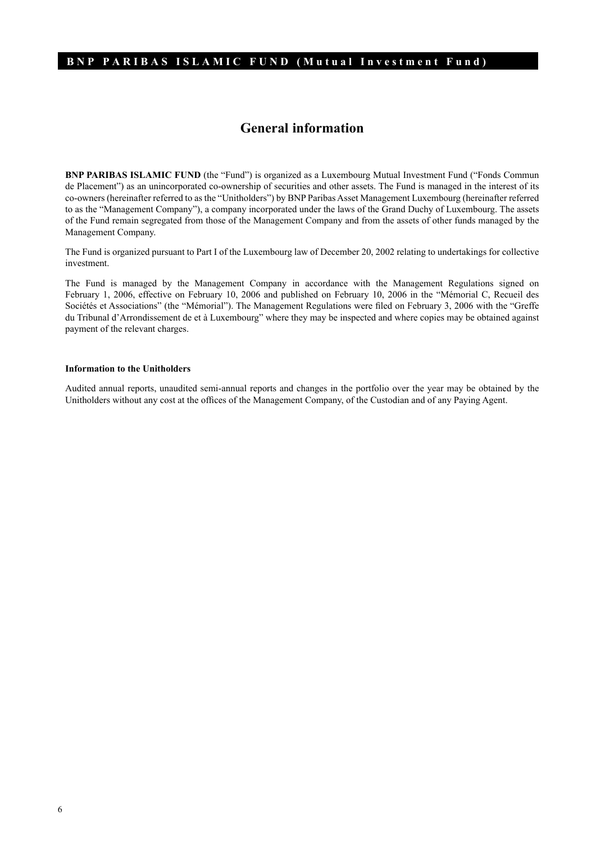# **General information**

**BNP PARIBAS ISLAMIC FUND** (the "Fund") is organized as a Luxembourg Mutual Investment Fund ("Fonds Commun de Placement") as an unincorporated co-ownership of securities and other assets. The Fund is managed in the interest of its co-owners (hereinafter referred to as the "Unitholders") by BNP Paribas Asset Management Luxembourg (hereinafter referred to as the "Management Company"), a company incorporated under the laws of the Grand Duchy of Luxembourg. The assets of the Fund remain segregated from those of the Management Company and from the assets of other funds managed by the Management Company.

The Fund is organized pursuant to Part I of the Luxembourg law of December 20, 2002 relating to undertakings for collective investment.

The Fund is managed by the Management Company in accordance with the Management Regulations signed on February 1, 2006, effective on February 10, 2006 and published on February 10, 2006 in the "Mémorial C, Recueil des Sociétés et Associations" (the "Mémorial"). The Management Regulations were filed on February 3, 2006 with the "Greffe du Tribunal d'Arrondissement de et à Luxembourg" where they may be inspected and where copies may be obtained against payment of the relevant charges.

#### **Information to the Unitholders**

Audited annual reports, unaudited semi-annual reports and changes in the portfolio over the year may be obtained by the Unitholders without any cost at the offices of the Management Company, of the Custodian and of any Paying Agent.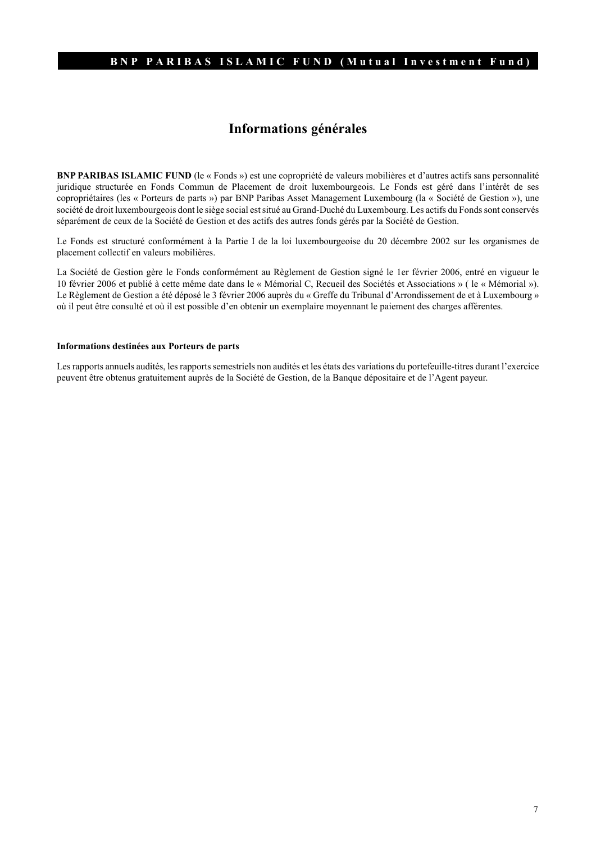# **Informations générales**

**BNP PARIBAS ISLAMIC FUND** (le « Fonds ») est une copropriété de valeurs mobilières et d'autres actifs sans personnalité juridique structurée en Fonds Commun de Placement de droit luxembourgeois. Le Fonds est géré dans l'intérêt de ses copropriétaires (les « Porteurs de parts ») par BNP Paribas Asset Management Luxembourg (la « Société de Gestion »), une société de droit luxembourgeois dont le siège social est situé au Grand-Duché du Luxembourg. Les actifs du Fonds sont conservés séparément de ceux de la Société de Gestion et des actifs des autres fonds gérés par la Société de Gestion.

Le Fonds est structuré conformément à la Partie I de la loi luxembourgeoise du 20 décembre 2002 sur les organismes de placement collectif en valeurs mobilières.

La Société de Gestion gère le Fonds conformément au Règlement de Gestion signé le 1er février 2006, entré en vigueur le 10 février 2006 et publié à cette même date dans le « Mémorial C, Recueil des Sociétés et Associations » ( le « Mémorial »). Le Règlement de Gestion a été déposé le 3 février 2006 auprès du « Greffe du Tribunal d'Arrondissement de et à Luxembourg » où il peut être consulté et où il est possible d'en obtenir un exemplaire moyennant le paiement des charges afférentes.

#### **Informations destinées aux Porteurs de parts**

Les rapports annuels audités, les rapports semestriels non audités et les états des variations du portefeuille-titres durant l'exercice peuvent être obtenus gratuitement auprès de la Société de Gestion, de la Banque dépositaire et de l'Agent payeur.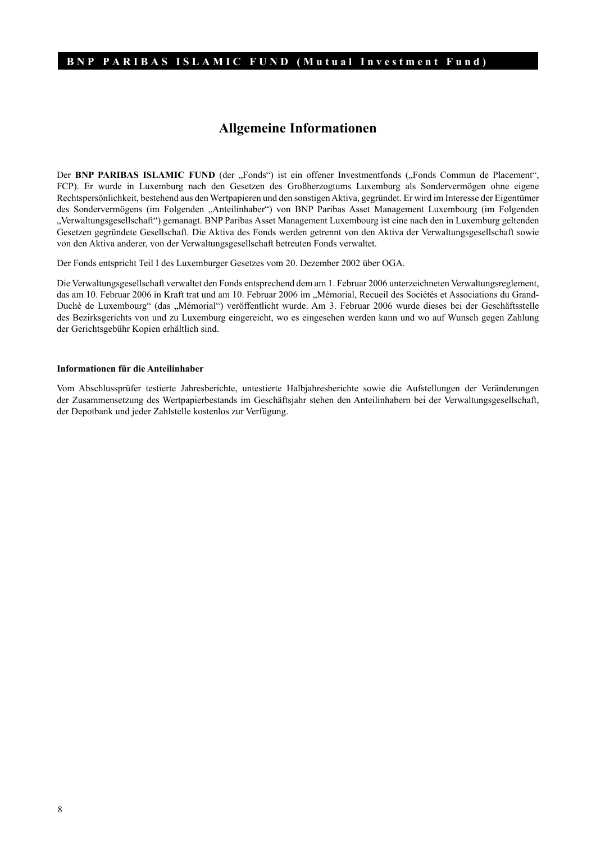# **Allgemeine Informationen**

Der **BNP PARIBAS ISLAMIC FUND** (der "Fonds") ist ein offener Investmentfonds ("Fonds Commun de Placement", FCP). Er wurde in Luxemburg nach den Gesetzen des Großherzogtums Luxemburg als Sondervermögen ohne eigene Rechtspersönlichkeit, bestehend aus den Wertpapieren und den sonstigen Aktiva, gegründet. Er wird im Interesse der Eigentümer des Sondervermögens (im Folgenden "Anteilinhaber") von BNP Paribas Asset Management Luxembourg (im Folgenden "Verwaltungsgesellschaft") gemanagt. BNP Paribas Asset Management Luxembourg ist eine nach den in Luxemburg geltenden Gesetzen gegründete Gesellschaft. Die Aktiva des Fonds werden getrennt von den Aktiva der Verwaltungsgesellschaft sowie von den Aktiva anderer, von der Verwaltungsgesellschaft betreuten Fonds verwaltet.

Der Fonds entspricht Teil I des Luxemburger Gesetzes vom 20. Dezember 2002 über OGA.

Die Verwaltungsgesellschaft verwaltet den Fonds entsprechend dem am 1. Februar 2006 unterzeichneten Verwaltungsreglement, das am 10. Februar 2006 in Kraft trat und am 10. Februar 2006 im "Mémorial, Recueil des Sociétés et Associations du Grand-Duché de Luxembourg" (das "Mémorial") veröffentlicht wurde. Am 3. Februar 2006 wurde dieses bei der Geschäftsstelle des Bezirksgerichts von und zu Luxemburg eingereicht, wo es eingesehen werden kann und wo auf Wunsch gegen Zahlung der Gerichtsgebühr Kopien erhältlich sind.

#### **Informationen für die Anteilinhaber**

Vom Abschlussprüfer testierte Jahresberichte, untestierte Halbjahresberichte sowie die Aufstellungen der Veränderungen der Zusammensetzung des Wertpapierbestands im Geschäftsjahr stehen den Anteilinhabern bei der Verwaltungsgesellschaft, der Depotbank und jeder Zahlstelle kostenlos zur Verfügung.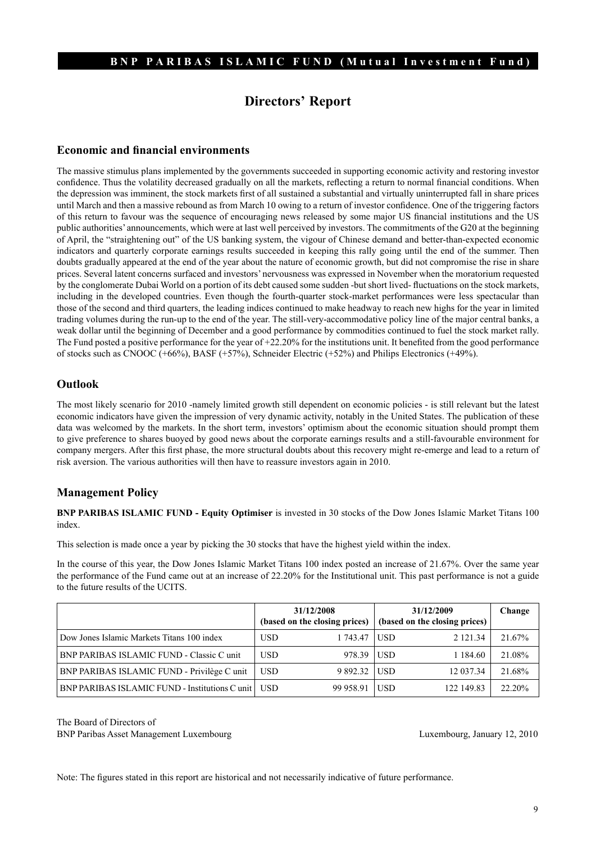# **Directors' Report**

#### **Economic and financial environments**

The massive stimulus plans implemented by the governments succeeded in supporting economic activity and restoring investor confidence. Thus the volatility decreased gradually on all the markets, reflecting a return to normal financial conditions. When the depression was imminent, the stock markets first of all sustained a substantial and virtually uninterrupted fall in share prices until March and then a massive rebound as from March 10 owing to a return of investor confidence. One of the triggering factors of this return to favour was the sequence of encouraging news released by some major US financial institutions and the US public authorities' announcements, which were at last well perceived by investors. The commitments of the G20 at the beginning of April, the "straightening out" of the US banking system, the vigour of Chinese demand and better-than-expected economic indicators and quarterly corporate earnings results succeeded in keeping this rally going until the end of the summer. Then doubts gradually appeared at the end of the year about the nature of economic growth, but did not compromise the rise in share prices. Several latent concerns surfaced and investors' nervousness was expressed in November when the moratorium requested by the conglomerate Dubai World on a portion of its debt caused some sudden -but short lived- fluctuations on the stock markets, including in the developed countries. Even though the fourth-quarter stock-market performances were less spectacular than those of the second and third quarters, the leading indices continued to make headway to reach new highs for the year in limited trading volumes during the run-up to the end of the year. The still-very-accommodative policy line of the major central banks, a weak dollar until the beginning of December and a good performance by commodities continued to fuel the stock market rally. The Fund posted a positive performance for the year of +22.20% for the institutions unit. It benefited from the good performance of stocks such as CNOOC (+66%), BASF (+57%), Schneider Electric (+52%) and Philips Electronics (+49%).

#### **Outlook**

The most likely scenario for 2010 -namely limited growth still dependent on economic policies - is still relevant but the latest economic indicators have given the impression of very dynamic activity, notably in the United States. The publication of these data was welcomed by the markets. In the short term, investors' optimism about the economic situation should prompt them to give preference to shares buoyed by good news about the corporate earnings results and a still-favourable environment for company mergers. After this first phase, the more structural doubts about this recovery might re-emerge and lead to a return of risk aversion. The various authorities will then have to reassure investors again in 2010.

#### **Management Policy**

**BNP PARIBAS ISLAMIC FUND - Equity Optimiser** is invested in 30 stocks of the Dow Jones Islamic Market Titans 100 index.

This selection is made once a year by picking the 30 stocks that have the highest yield within the index.

In the course of this year, the Dow Jones Islamic Market Titans 100 index posted an increase of 21.67%. Over the same year the performance of the Fund came out at an increase of 22.20% for the Institutional unit. This past performance is not a guide to the future results of the UCITS.

|                                                       | 31/12/2008<br>(based on the closing prices) |           | 31/12/2009<br>(based on the closing prices) |              | Change |
|-------------------------------------------------------|---------------------------------------------|-----------|---------------------------------------------|--------------|--------|
| Dow Jones Islamic Markets Titans 100 index            | <b>USD</b>                                  | 1 743.47  | <b>USD</b>                                  | 2 1 2 1 .3 4 | 21.67% |
| BNP PARIBAS ISLAMIC FUND - Classic C unit             | <b>USD</b>                                  | 978.39    | <b>USD</b>                                  | 1 1 8 4 6 0  | 21.08% |
| BNP PARIBAS ISLAMIC FUND - Privilège C unit           | <b>USD</b>                                  | 9 892.32  | <b>USD</b>                                  | 12 037.34    | 21.68% |
| <b>BNP PARIBAS ISLAMIC FUND - Institutions C unit</b> | <b>USD</b>                                  | 99 958.91 | <b>USD</b>                                  | 122 149.83   | 22.20% |

The Board of Directors of BNP Paribas Asset Management Luxembourg Luxembourg, January 12, 2010

Note: The figures stated in this report are historical and not necessarily indicative of future performance.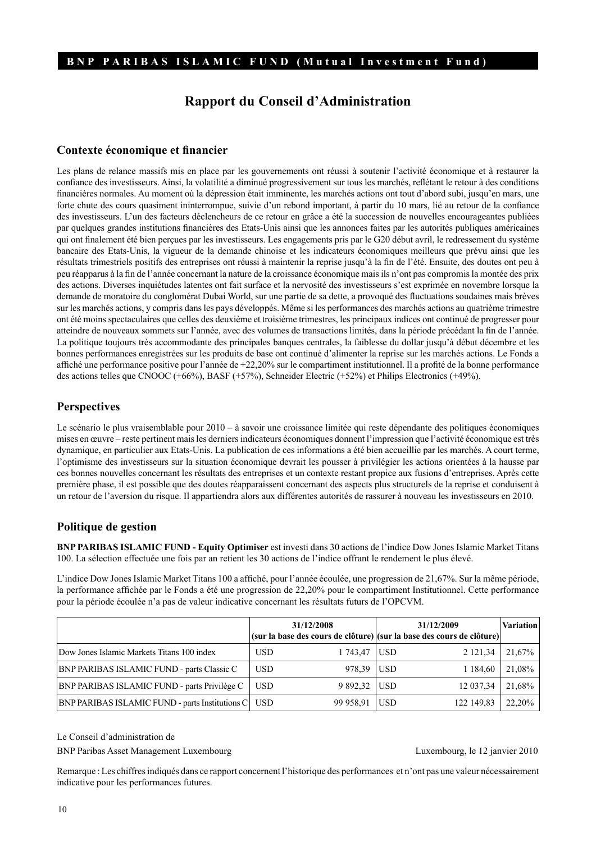# **Rapport du Conseil d'Administration**

#### **Contexte économique et financier**

Les plans de relance massifs mis en place par les gouvernements ont réussi à soutenir l'activité économique et à restaurer la confiance des investisseurs. Ainsi, la volatilité a diminué progressivement sur tous les marchés, reflétant le retour à des conditions financières normales. Au moment où la dépression était imminente, les marchés actions ont tout d'abord subi, jusqu'en mars, une forte chute des cours quasiment ininterrompue, suivie d'un rebond important, à partir du 10 mars, lié au retour de la confiance des investisseurs. L'un des facteurs déclencheurs de ce retour en grâce a été la succession de nouvelles encourageantes publiées par quelques grandes institutions financières des Etats-Unis ainsi que les annonces faites par les autorités publiques américaines qui ont finalement été bien perçues par les investisseurs. Les engagements pris par le G20 début avril, le redressement du système bancaire des Etats-Unis, la vigueur de la demande chinoise et les indicateurs économiques meilleurs que prévu ainsi que les résultats trimestriels positifs des entreprises ont réussi à maintenir la reprise jusqu'à la fin de l'été. Ensuite, des doutes ont peu à peu réapparus à la fin de l'année concernant la nature de la croissance économique mais ils n'ont pas compromis la montée des prix des actions. Diverses inquiétudes latentes ont fait surface et la nervosité des investisseurs s'est exprimée en novembre lorsque la demande de moratoire du conglomérat Dubai World, sur une partie de sa dette, a provoqué des fluctuations soudaines mais brèves sur les marchés actions, y compris dans les pays développés. Même si les performances des marchés actions au quatrième trimestre ont été moins spectaculaires que celles des deuxième et troisième trimestres, les principaux indices ont continué de progresser pour atteindre de nouveaux sommets sur l'année, avec des volumes de transactions limités, dans la période précédant la fin de l'année. La politique toujours très accommodante des principales banques centrales, la faiblesse du dollar jusqu'à début décembre et les bonnes performances enregistrées sur les produits de base ont continué d'alimenter la reprise sur les marchés actions. Le Fonds a affiché une performance positive pour l'année de +22,20% sur le compartiment institutionnel. Il a profité de la bonne performance des actions telles que CNOOC (+66%), BASF (+57%), Schneider Electric (+52%) et Philips Electronics (+49%).

#### **Perspectives**

Le scénario le plus vraisemblable pour 2010 – à savoir une croissance limitée qui reste dépendante des politiques économiques mises en œuvre – reste pertinent mais les derniers indicateurs économiques donnent l'impression que l'activité économique est très dynamique, en particulier aux Etats-Unis. La publication de ces informations a été bien accueillie par les marchés. A court terme, l'optimisme des investisseurs sur la situation économique devrait les pousser à privilégier les actions orientées à la hausse par ces bonnes nouvelles concernant les résultats des entreprises et un contexte restant propice aux fusions d'entreprises. Après cette première phase, il est possible que des doutes réapparaissent concernant des aspects plus structurels de la reprise et conduisent à un retour de l'aversion du risque. Il appartiendra alors aux différentes autorités de rassurer à nouveau les investisseurs en 2010.

#### **Politique de gestion**

**BNP PARIBAS ISLAMIC FUND - Equity Optimiser** est investi dans 30 actions de l'indice Dow Jones Islamic Market Titans 100. La sélection effectuée une fois par an retient les 30 actions de l'indice offrant le rendement le plus élevé.

L'indice Dow Jones Islamic Market Titans 100 a affiché, pour l'année écoulée, une progression de 21,67%. Sur la même période, la performance affichée par le Fonds a été une progression de 22,20% pour le compartiment Institutionnel. Cette performance pour la période écoulée n'a pas de valeur indicative concernant les résultats futurs de l'OPCVM.

|                                                            | 31/12/2008<br>(sur la base des cours de clôture) (sur la base des cours de clôture) |           |            | 31/12/2009  | <b>Variation</b> |
|------------------------------------------------------------|-------------------------------------------------------------------------------------|-----------|------------|-------------|------------------|
| Dow Jones Islamic Markets Titans 100 index                 | <b>USD</b>                                                                          | 1 743.47  | USD        | 2 121,34    | $21,67\%$        |
| <b>BNP PARIBAS ISLAMIC FUND - parts Classic C</b>          | <b>USD</b>                                                                          | 978.39    | USD        | 1 1 8 4 6 0 | $21,08\%$        |
| BNP PARIBAS ISLAMIC FUND - parts Privilège C               | USD                                                                                 | 9 892.32  | <b>USD</b> | 12 037,34   | $21,68\%$        |
| <b>BNP PARIBAS ISLAMIC FUND - parts Institutions C</b> USD |                                                                                     | 99 958,91 | <b>USD</b> | 122 149,83  | $22,20\%$        |

Le Conseil d'administration de

BNP Paribas Asset Management Luxembourg Luxembourg Luxembourg, le 12 janvier 2010

Remarque : Les chiffres indiqués dans ce rapport concernent l'historique des performances et n'ont pas une valeur nécessairement indicative pour les performances futures.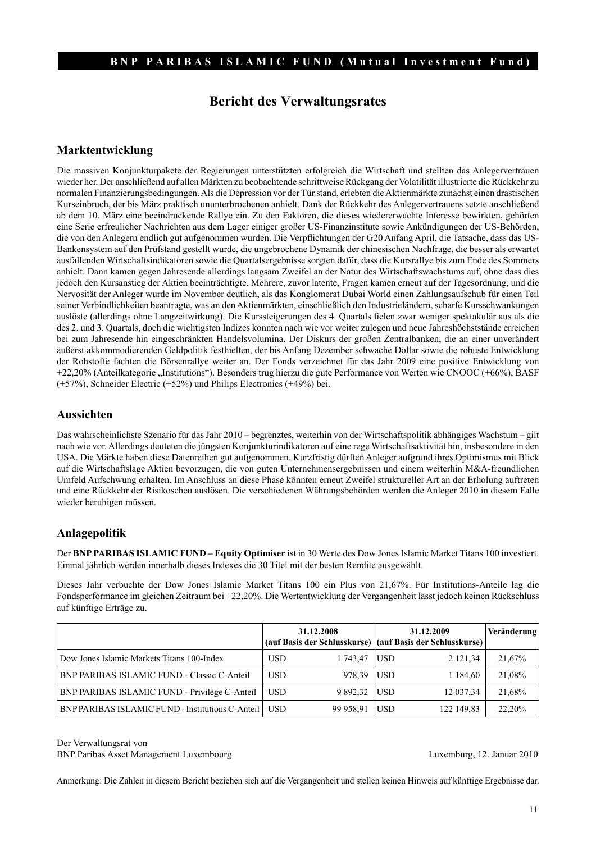# **Bericht des Verwaltungsrates**

#### **Marktentwicklung**

Die massiven Konjunkturpakete der Regierungen unterstützten erfolgreich die Wirtschaft und stellten das Anlegervertrauen wieder her. Der anschließend auf allen Märkten zu beobachtende schrittweise Rückgang der Volatilität illustrierte die Rückkehr zu normalen Finanzierungsbedingungen. Als die Depression vor der Tür stand, erlebten die Aktienmärkte zunächst einen drastischen Kurseinbruch, der bis März praktisch ununterbrochenen anhielt. Dank der Rückkehr des Anlegervertrauens setzte anschließend ab dem 10. März eine beeindruckende Rallye ein. Zu den Faktoren, die dieses wiedererwachte Interesse bewirkten, gehörten eine Serie erfreulicher Nachrichten aus dem Lager einiger großer US-Finanzinstitute sowie Ankündigungen der US-Behörden, die von den Anlegern endlich gut aufgenommen wurden. Die Verpflichtungen der G20 Anfang April, die Tatsache, dass das US-Bankensystem auf den Prüfstand gestellt wurde, die ungebrochene Dynamik der chinesischen Nachfrage, die besser als erwartet ausfallenden Wirtschaftsindikatoren sowie die Quartalsergebnisse sorgten dafür, dass die Kursrallye bis zum Ende des Sommers anhielt. Dann kamen gegen Jahresende allerdings langsam Zweifel an der Natur des Wirtschaftswachstums auf, ohne dass dies jedoch den Kursanstieg der Aktien beeinträchtigte. Mehrere, zuvor latente, Fragen kamen erneut auf der Tagesordnung, und die Nervosität der Anleger wurde im November deutlich, als das Konglomerat Dubai World einen Zahlungsaufschub für einen Teil seiner Verbindlichkeiten beantragte, was an den Aktienmärkten, einschließlich den Industrieländern, scharfe Kursschwankungen auslöste (allerdings ohne Langzeitwirkung). Die Kurssteigerungen des 4. Quartals fielen zwar weniger spektakulär aus als die des 2. und 3. Quartals, doch die wichtigsten Indizes konnten nach wie vor weiter zulegen und neue Jahreshöchststände erreichen bei zum Jahresende hin eingeschränkten Handelsvolumina. Der Diskurs der großen Zentralbanken, die an einer unverändert äußerst akkommodierenden Geldpolitik festhielten, der bis Anfang Dezember schwache Dollar sowie die robuste Entwicklung der Rohstoffe fachten die Börsenrallye weiter an. Der Fonds verzeichnet für das Jahr 2009 eine positive Entwicklung von +22,20% (Anteilkategorie "Institutions"). Besonders trug hierzu die gute Performance von Werten wie CNOOC (+66%), BASF (+57%), Schneider Electric (+52%) und Philips Electronics (+49%) bei.

#### **Aussichten**

Das wahrscheinlichste Szenario für das Jahr 2010 – begrenztes, weiterhin von der Wirtschaftspolitik abhängiges Wachstum – gilt nach wie vor. Allerdings deuteten die jüngsten Konjunkturindikatoren auf eine rege Wirtschaftsaktivität hin, insbesondere in den USA. Die Märkte haben diese Datenreihen gut aufgenommen. Kurzfristig dürften Anleger aufgrund ihres Optimismus mit Blick auf die Wirtschaftslage Aktien bevorzugen, die von guten Unternehmensergebnissen und einem weiterhin M&A-freundlichen Umfeld Aufschwung erhalten. Im Anschluss an diese Phase könnten erneut Zweifel struktureller Art an der Erholung auftreten und eine Rückkehr der Risikoscheu auslösen. Die verschiedenen Währungsbehörden werden die Anleger 2010 in diesem Falle wieder beruhigen müssen.

#### **Anlagepolitik**

Der **BNP PARIBAS ISLAMIC FUND – Equity Optimiser** ist in 30 Werte des Dow Jones Islamic Market Titans 100 investiert. Einmal jährlich werden innerhalb dieses Indexes die 30 Titel mit der besten Rendite ausgewählt.

Dieses Jahr verbuchte der Dow Jones Islamic Market Titans 100 ein Plus von 21,67%. Für Institutions-Anteile lag die Fondsperformance im gleichen Zeitraum bei +22,20%. Die Wertentwicklung der Vergangenheit lässt jedoch keinen Rückschluss auf künftige Erträge zu.

|                                                    | 31.12.2008 |              | 31.12.2009<br>(auf Basis der Schlusskurse) (auf Basis der Schlusskurse) |             | Veränderung |
|----------------------------------------------------|------------|--------------|-------------------------------------------------------------------------|-------------|-------------|
|                                                    |            |              |                                                                         |             |             |
| Dow Jones Islamic Markets Titans 100-Index         | <b>USD</b> | 1 743,47     | USD                                                                     | 2 121,34    | 21,67%      |
| <b>BNP PARIBAS ISLAMIC FUND - Classic C-Anteil</b> | <b>USD</b> | 978,39 USD   |                                                                         | 1 1 8 4 6 0 | 21,08%      |
| BNP PARIBAS ISLAMIC FUND - Privilège C-Anteil      | <b>USD</b> | 9 892,32 USD |                                                                         | 12 037,34   | 21,68%      |
| BNP PARIBAS ISLAMIC FUND - Institutions C-Anteil   | USD.       | 99 958,91    | <b>USD</b>                                                              | 122 149,83  | 22,20%      |

Der Verwaltungsrat von

BNP Paribas Asset Management Luxembourg Luxemburg, 12. Januar 2010

Anmerkung: Die Zahlen in diesem Bericht beziehen sich auf die Vergangenheit und stellen keinen Hinweis auf künftige Ergebnisse dar.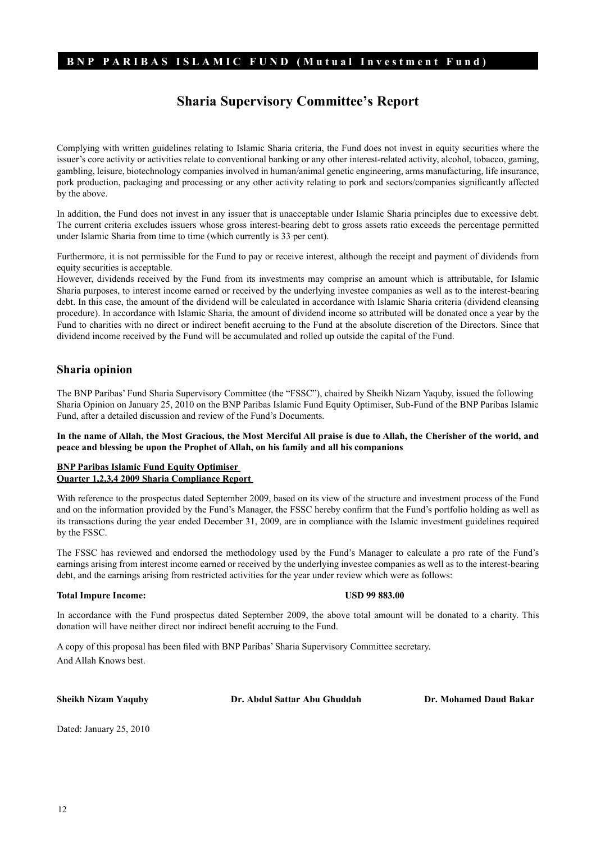# **Sharia Supervisory Committee's Report**

Complying with written guidelines relating to Islamic Sharia criteria, the Fund does not invest in equity securities where the issuer's core activity or activities relate to conventional banking or any other interest-related activity, alcohol, tobacco, gaming, gambling, leisure, biotechnology companies involved in human/animal genetic engineering, arms manufacturing, life insurance, pork production, packaging and processing or any other activity relating to pork and sectors/companies significantly affected by the above.

In addition, the Fund does not invest in any issuer that is unacceptable under Islamic Sharia principles due to excessive debt. The current criteria excludes issuers whose gross interest-bearing debt to gross assets ratio exceeds the percentage permitted under Islamic Sharia from time to time (which currently is 33 per cent).

Furthermore, it is not permissible for the Fund to pay or receive interest, although the receipt and payment of dividends from equity securities is acceptable.

However, dividends received by the Fund from its investments may comprise an amount which is attributable, for Islamic Sharia purposes, to interest income earned or received by the underlying investee companies as well as to the interest-bearing debt. In this case, the amount of the dividend will be calculated in accordance with Islamic Sharia criteria (dividend cleansing procedure). In accordance with Islamic Sharia, the amount of dividend income so attributed will be donated once a year by the Fund to charities with no direct or indirect benefit accruing to the Fund at the absolute discretion of the Directors. Since that dividend income received by the Fund will be accumulated and rolled up outside the capital of the Fund.

#### **Sharia opinion**

The BNP Paribas' Fund Sharia Supervisory Committee (the "FSSC"), chaired by Sheikh Nizam Yaquby, issued the following Sharia Opinion on January 25, 2010 on the BNP Paribas Islamic Fund Equity Optimiser, Sub-Fund of the BNP Paribas Islamic Fund, after a detailed discussion and review of the Fund's Documents.

**In the name of Allah, the Most Gracious, the Most Merciful All praise is due to Allah, the Cherisher of the world, and peace and blessing be upon the Prophet of Allah, on his family and all his companions** 

#### **BNP Paribas Islamic Fund Equity Optimiser Quarter 1,2,3,4 2009 Sharia Compliance Report**

With reference to the prospectus dated September 2009, based on its view of the structure and investment process of the Fund and on the information provided by the Fund's Manager, the FSSC hereby confirm that the Fund's portfolio holding as well as its transactions during the year ended December 31, 2009, are in compliance with the Islamic investment guidelines required by the FSSC.

The FSSC has reviewed and endorsed the methodology used by the Fund's Manager to calculate a pro rate of the Fund's earnings arising from interest income earned or received by the underlying investee companies as well as to the interest-bearing debt, and the earnings arising from restricted activities for the year under review which were as follows:

#### **Total Impure Income: USD 99 883.00**

In accordance with the Fund prospectus dated September 2009, the above total amount will be donated to a charity. This donation will have neither direct nor indirect benefit accruing to the Fund.

A copy of this proposal has been filed with BNP Paribas' Sharia Supervisory Committee secretary. And Allah Knows best.

**Sheikh Nizam Yaquby Dr. Abdul Sattar Abu Ghuddah Dr. Mohamed Daud Bakar**

Dated: January 25, 2010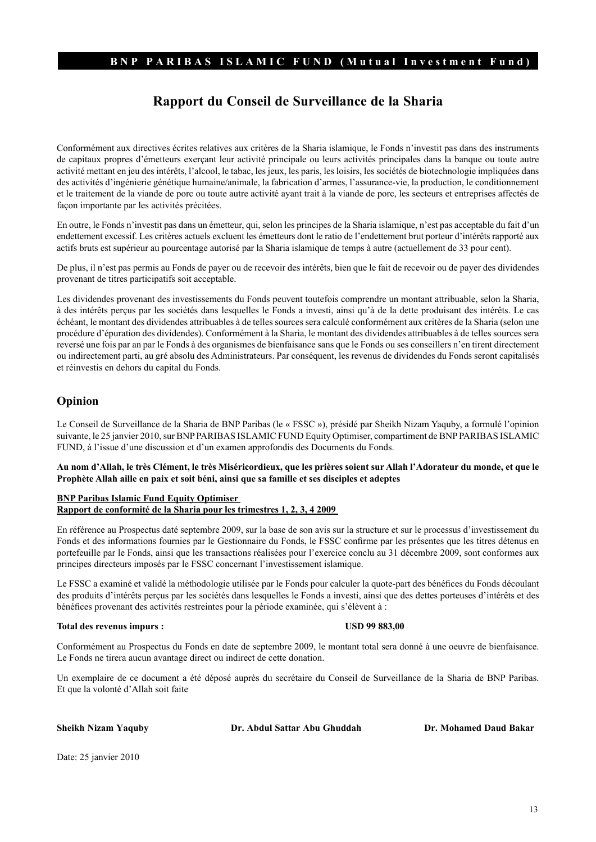# **Rapport du Conseil de Surveillance de la Sharia**

Conformément aux directives écrites relatives aux critères de la Sharia islamique, le Fonds n'investit pas dans des instruments de capitaux propres d'émetteurs exerçant leur activité principale ou leurs activités principales dans la banque ou toute autre activité mettant en jeu des intérêts, l'alcool, le tabac, les jeux, les paris, les loisirs, les sociétés de biotechnologie impliquées dans des activités d'ingénierie génétique humaine/animale, la fabrication d'armes, l'assurance-vie, la production, le conditionnement et le traitement de la viande de porc ou toute autre activité ayant trait à la viande de porc, les secteurs et entreprises affectés de façon importante par les activités précitées.

En outre, le Fonds n'investit pas dans un émetteur, qui, selon les principes de la Sharia islamique, n'est pas acceptable du fait d'un endettement excessif. Les critères actuels excluent les émetteurs dont le ratio de l'endettement brut porteur d'intérêts rapporté aux actifs bruts est supérieur au pourcentage autorisé par la Sharia islamique de temps à autre (actuellement de 33 pour cent).

De plus, il n'est pas permis au Fonds de payer ou de recevoir des intérêts, bien que le fait de recevoir ou de payer des dividendes provenant de titres participatifs soit acceptable.

Les dividendes provenant des investissements du Fonds peuvent toutefois comprendre un montant attribuable, selon la Sharia, à des intérêts perçus par les sociétés dans lesquelles le Fonds a investi, ainsi qu'à de la dette produisant des intérêts. Le cas échéant, le montant des dividendes attribuables à de telles sources sera calculé conformément aux critères de la Sharia (selon une procédure d'épuration des dividendes). Conformément à la Sharia, le montant des dividendes attribuables à de telles sources sera reversé une fois par an par le Fonds à des organismes de bienfaisance sans que le Fonds ou ses conseillers n'en tirent directement ou indirectement parti, au gré absolu des Administrateurs. Par conséquent, les revenus de dividendes du Fonds seront capitalisés et réinvestis en dehors du capital du Fonds.

#### **Opinion**

Le Conseil de Surveillance de la Sharia de BNP Paribas (le « FSSC »), présidé par Sheikh Nizam Yaquby, a formulé l'opinion suivante, le 25 janvier 2010, sur BNP PARIBAS ISLAMIC FUND Equity Optimiser, compartiment de BNP PARIBAS ISLAMIC FUND, à l'issue d'une discussion et d'un examen approfondis des Documents du Fonds.

#### **Au nom d'Allah, le très Clément, le très Miséricordieux, que les prières soient sur Allah l'Adorateur du monde, et que le Prophète Allah aille en paix et soit béni, ainsi que sa famille et ses disciples et adeptes**

#### **BNP Paribas Islamic Fund Equity Optimiser Rapport de conformité de la Sharia pour les trimestres 1, 2, 3, 4 2009**

En référence au Prospectus daté septembre 2009, sur la base de son avis sur la structure et sur le processus d'investissement du Fonds et des informations fournies par le Gestionnaire du Fonds, le FSSC confirme par les présentes que les titres détenus en portefeuille par le Fonds, ainsi que les transactions réalisées pour l'exercice conclu au 31 décembre 2009, sont conformes aux principes directeurs imposés par le FSSC concernant l'investissement islamique.

Le FSSC a examiné et validé la méthodologie utilisée par le Fonds pour calculer la quote-part des bénéfices du Fonds découlant des produits d'intérêts perçus par les sociétés dans lesquelles le Fonds a investi, ainsi que des dettes porteuses d'intérêts et des bénéfices provenant des activités restreintes pour la période examinée, qui s'élèvent à :

#### **Total des revenus impurs : USD 99 883,00**

Conformément au Prospectus du Fonds en date de septembre 2009, le montant total sera donné à une oeuvre de bienfaisance. Le Fonds ne tirera aucun avantage direct ou indirect de cette donation.

Un exemplaire de ce document a été déposé auprès du secrétaire du Conseil de Surveillance de la Sharia de BNP Paribas. Et que la volonté d'Allah soit faite

**Sheikh Nizam Yaquby Dr. Abdul Sattar Abu Ghuddah Dr. Mohamed Daud Bakar**

Date: 25 janvier 2010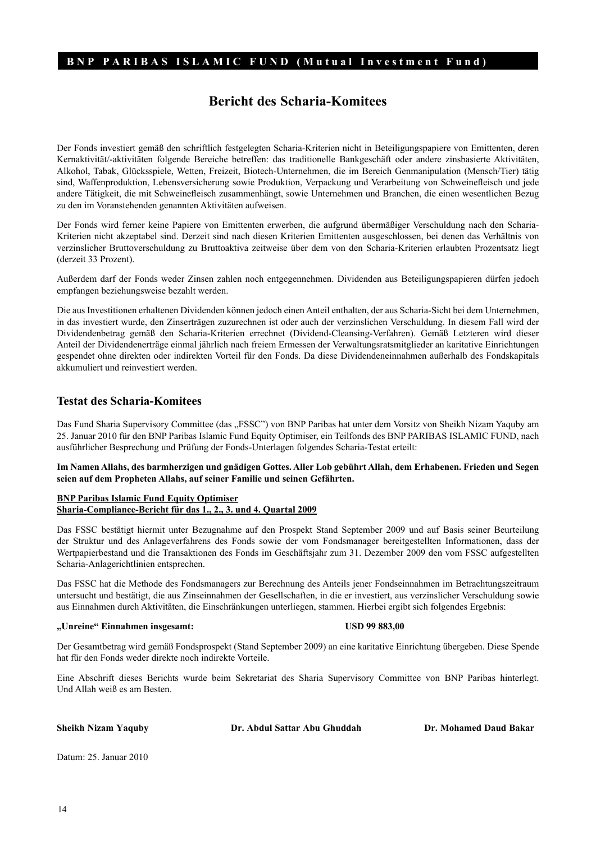# **Bericht des Scharia-Komitees**

Der Fonds investiert gemäß den schriftlich festgelegten Scharia-Kriterien nicht in Beteiligungspapiere von Emittenten, deren Kernaktivität/-aktivitäten folgende Bereiche betreffen: das traditionelle Bankgeschäft oder andere zinsbasierte Aktivitäten, Alkohol, Tabak, Glücksspiele, Wetten, Freizeit, Biotech-Unternehmen, die im Bereich Genmanipulation (Mensch/Tier) tätig sind, Waffenproduktion, Lebensversicherung sowie Produktion, Verpackung und Verarbeitung von Schweinefleisch und jede andere Tätigkeit, die mit Schweinefleisch zusammenhängt, sowie Unternehmen und Branchen, die einen wesentlichen Bezug zu den im Voranstehenden genannten Aktivitäten aufweisen.

Der Fonds wird ferner keine Papiere von Emittenten erwerben, die aufgrund übermäßiger Verschuldung nach den Scharia-Kriterien nicht akzeptabel sind. Derzeit sind nach diesen Kriterien Emittenten ausgeschlossen, bei denen das Verhältnis von verzinslicher Bruttoverschuldung zu Bruttoaktiva zeitweise über dem von den Scharia-Kriterien erlaubten Prozentsatz liegt (derzeit 33 Prozent).

Außerdem darf der Fonds weder Zinsen zahlen noch entgegennehmen. Dividenden aus Beteiligungspapieren dürfen jedoch empfangen beziehungsweise bezahlt werden.

Die aus Investitionen erhaltenen Dividenden können jedoch einen Anteil enthalten, der aus Scharia-Sicht bei dem Unternehmen, in das investiert wurde, den Zinserträgen zuzurechnen ist oder auch der verzinslichen Verschuldung. In diesem Fall wird der Dividendenbetrag gemäß den Scharia-Kriterien errechnet (Dividend-Cleansing-Verfahren). Gemäß Letzteren wird dieser Anteil der Dividendenerträge einmal jährlich nach freiem Ermessen der Verwaltungsratsmitglieder an karitative Einrichtungen gespendet ohne direkten oder indirekten Vorteil für den Fonds. Da diese Dividendeneinnahmen außerhalb des Fondskapitals akkumuliert und reinvestiert werden.

#### **Testat des Scharia-Komitees**

Das Fund Sharia Supervisory Committee (das "FSSC") von BNP Paribas hat unter dem Vorsitz von Sheikh Nizam Yaquby am 25. Januar 2010 für den BNP Paribas Islamic Fund Equity Optimiser, ein Teilfonds des BNP PARIBAS ISLAMIC FUND, nach ausführlicher Besprechung und Prüfung der Fonds-Unterlagen folgendes Scharia-Testat erteilt:

**Im Namen Allahs, des barmherzigen und gnädigen Gottes. Aller Lob gebührt Allah, dem Erhabenen. Frieden und Segen seien auf dem Propheten Allahs, auf seiner Familie und seinen Gefährten.**

#### **BNP Paribas Islamic Fund Equity Optimiser Sharia-Compliance-Bericht für das 1., 2., 3. und 4. Quartal 2009**

Das FSSC bestätigt hiermit unter Bezugnahme auf den Prospekt Stand September 2009 und auf Basis seiner Beurteilung der Struktur und des Anlageverfahrens des Fonds sowie der vom Fondsmanager bereitgestellten Informationen, dass der Wertpapierbestand und die Transaktionen des Fonds im Geschäftsjahr zum 31. Dezember 2009 den vom FSSC aufgestellten Scharia-Anlagerichtlinien entsprechen.

Das FSSC hat die Methode des Fondsmanagers zur Berechnung des Anteils jener Fondseinnahmen im Betrachtungszeitraum untersucht und bestätigt, die aus Zinseinnahmen der Gesellschaften, in die er investiert, aus verzinslicher Verschuldung sowie aus Einnahmen durch Aktivitäten, die Einschränkungen unterliegen, stammen. Hierbei ergibt sich folgendes Ergebnis:

#### **"Unreine" Einnahmen insgesamt: USD 99 883,00**

Der Gesamtbetrag wird gemäß Fondsprospekt (Stand September 2009) an eine karitative Einrichtung übergeben. Diese Spende hat für den Fonds weder direkte noch indirekte Vorteile.

Eine Abschrift dieses Berichts wurde beim Sekretariat des Sharia Supervisory Committee von BNP Paribas hinterlegt. Und Allah weiß es am Besten.

**Sheikh Nizam Yaquby Dr. Abdul Sattar Abu Ghuddah Dr. Mohamed Daud Bakar**

Datum: 25. Januar 2010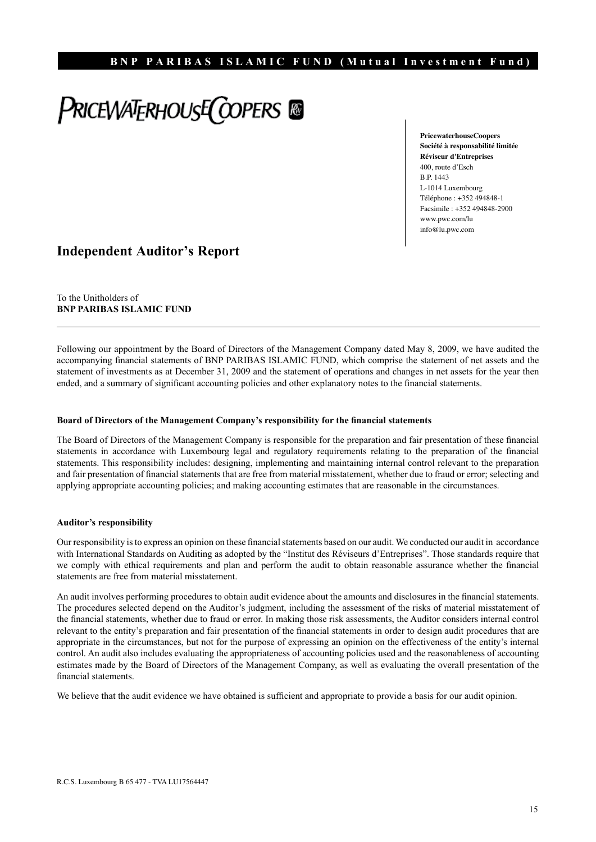# **PRICEWATERHOUSE COPERS**

**PricewaterhouseCoopers Société à responsabilité limitée Réviseur d'Entreprises** 400, route d'Esch B.P. 1443 L-1014 Luxembourg Téléphone : +352 494848-1 Facsimile : +352 494848-2900 www.pwc.com/lu info@lu.pwc.com

# **Independent Auditor's Report**

To the Unitholders of **BNP PARIBAS ISLAMIC FUND**

Following our appointment by the Board of Directors of the Management Company dated May 8, 2009, we have audited the accompanying financial statements of BNP PARIBAS ISLAMIC FUND, which comprise the statement of net assets and the statement of investments as at December 31, 2009 and the statement of operations and changes in net assets for the year then ended, and a summary of significant accounting policies and other explanatory notes to the financial statements.

#### **Board of Directors of the Management Company's responsibility for the financial statements**

The Board of Directors of the Management Company is responsible for the preparation and fair presentation of these financial statements in accordance with Luxembourg legal and regulatory requirements relating to the preparation of the financial statements. This responsibility includes: designing, implementing and maintaining internal control relevant to the preparation and fair presentation of financial statements that are free from material misstatement, whether due to fraud or error; selecting and applying appropriate accounting policies; and making accounting estimates that are reasonable in the circumstances.

#### **Auditor's responsibility**

Our responsibility is to express an opinion on these financial statements based on our audit. We conducted our audit in accordance with International Standards on Auditing as adopted by the "Institut des Réviseurs d'Entreprises". Those standards require that we comply with ethical requirements and plan and perform the audit to obtain reasonable assurance whether the financial statements are free from material misstatement.

An audit involves performing procedures to obtain audit evidence about the amounts and disclosures in the financial statements. The procedures selected depend on the Auditor's judgment, including the assessment of the risks of material misstatement of the financial statements, whether due to fraud or error. In making those risk assessments, the Auditor considers internal control relevant to the entity's preparation and fair presentation of the financial statements in order to design audit procedures that are appropriate in the circumstances, but not for the purpose of expressing an opinion on the effectiveness of the entity's internal control. An audit also includes evaluating the appropriateness of accounting policies used and the reasonableness of accounting estimates made by the Board of Directors of the Management Company, as well as evaluating the overall presentation of the financial statements.

We believe that the audit evidence we have obtained is sufficient and appropriate to provide a basis for our audit opinion.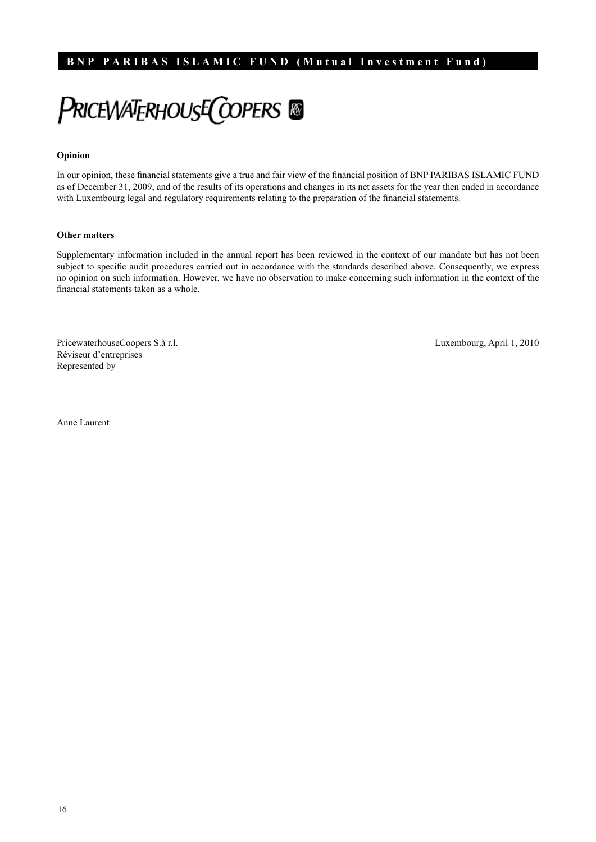PRICEWATERHOUSE COPERS

#### **Opinion**

In our opinion, these financial statements give a true and fair view of the financial position of BNP PARIBAS ISLAMIC FUND as of December 31, 2009, and of the results of its operations and changes in its net assets for the year then ended in accordance with Luxembourg legal and regulatory requirements relating to the preparation of the financial statements.

#### **Other matters**

Supplementary information included in the annual report has been reviewed in the context of our mandate but has not been subject to specific audit procedures carried out in accordance with the standards described above. Consequently, we express no opinion on such information. However, we have no observation to make concerning such information in the context of the financial statements taken as a whole.

PricewaterhouseCoopers S.à r.l. Luxembourg, April 1, 2010 Réviseur d'entreprises Represented by

Anne Laurent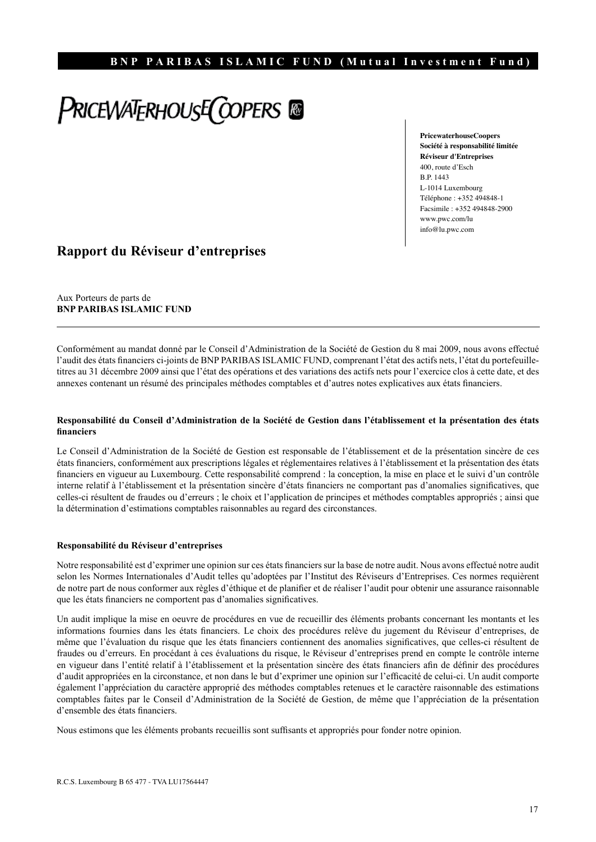# PRICEWATERHOUSE COPERS @

**PricewaterhouseCoopers Société à responsabilité limitée Réviseur d'Entreprises** 400, route d'Esch B.P. 1443 L-1014 Luxembourg Téléphone : +352 494848-1 Facsimile : +352 494848-2900 www.pwc.com/lu info@lu.pwc.com

# **Rapport du Réviseur d'entreprises**

Aux Porteurs de parts de **BNP PARIBAS ISLAMIC FUND**

Conformément au mandat donné par le Conseil d'Administration de la Société de Gestion du 8 mai 2009, nous avons effectué l'audit des états financiers ci-joints de BNP PARIBAS ISLAMIC FUND, comprenant l'état des actifs nets, l'état du portefeuilletitres au 31 décembre 2009 ainsi que l'état des opérations et des variations des actifs nets pour l'exercice clos à cette date, et des annexes contenant un résumé des principales méthodes comptables et d'autres notes explicatives aux états financiers.

#### **Responsabilité du Conseil d'Administration de la Société de Gestion dans l'établissement et la présentation des états financiers**

Le Conseil d'Administration de la Société de Gestion est responsable de l'établissement et de la présentation sincère de ces états financiers, conformément aux prescriptions légales et réglementaires relatives à l'établissement et la présentation des états financiers en vigueur au Luxembourg. Cette responsabilité comprend : la conception, la mise en place et le suivi d'un contrôle interne relatif à l'établissement et la présentation sincère d'états financiers ne comportant pas d'anomalies significatives, que celles-ci résultent de fraudes ou d'erreurs ; le choix et l'application de principes et méthodes comptables appropriés ; ainsi que la détermination d'estimations comptables raisonnables au regard des circonstances.

#### **Responsabilité du Réviseur d'entreprises**

Notre responsabilité est d'exprimer une opinion sur ces états financiers sur la base de notre audit. Nous avons effectué notre audit selon les Normes Internationales d'Audit telles qu'adoptées par l'Institut des Réviseurs d'Entreprises. Ces normes requièrent de notre part de nous conformer aux règles d'éthique et de planifier et de réaliser l'audit pour obtenir une assurance raisonnable que les états financiers ne comportent pas d'anomalies significatives.

Un audit implique la mise en oeuvre de procédures en vue de recueillir des éléments probants concernant les montants et les informations fournies dans les états financiers. Le choix des procédures relève du jugement du Réviseur d'entreprises, de même que l'évaluation du risque que les états financiers contiennent des anomalies significatives, que celles-ci résultent de fraudes ou d'erreurs. En procédant à ces évaluations du risque, le Réviseur d'entreprises prend en compte le contrôle interne en vigueur dans l'entité relatif à l'établissement et la présentation sincère des états financiers afin de définir des procédures d'audit appropriées en la circonstance, et non dans le but d'exprimer une opinion sur l'efficacité de celui-ci. Un audit comporte également l'appréciation du caractère approprié des méthodes comptables retenues et le caractère raisonnable des estimations comptables faites par le Conseil d'Administration de la Société de Gestion, de même que l'appréciation de la présentation d'ensemble des états financiers.

Nous estimons que les éléments probants recueillis sont suffisants et appropriés pour fonder notre opinion.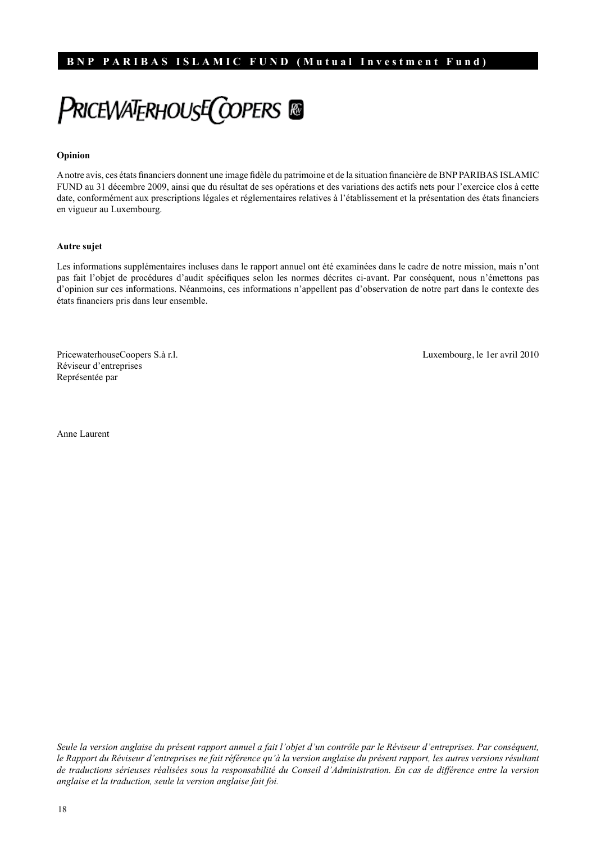**PRICEWATERHOUSE COPERS** 

#### **Opinion**

A notre avis, ces états financiers donnent une image fidèle du patrimoine et de la situation financière de BNP PARIBAS ISLAMIC FUND au 31 décembre 2009, ainsi que du résultat de ses opérations et des variations des actifs nets pour l'exercice clos à cette date, conformément aux prescriptions légales et réglementaires relatives à l'établissement et la présentation des états financiers en vigueur au Luxembourg.

#### **Autre sujet**

Les informations supplémentaires incluses dans le rapport annuel ont été examinées dans le cadre de notre mission, mais n'ont pas fait l'objet de procédures d'audit spécifiques selon les normes décrites ci-avant. Par conséquent, nous n'émettons pas d'opinion sur ces informations. Néanmoins, ces informations n'appellent pas d'observation de notre part dans le contexte des états financiers pris dans leur ensemble.

Réviseur d'entreprises Représentée par

PricewaterhouseCoopers S.à r.l. Luxembourg, le 1er avril 2010

Anne Laurent

*Seule la version anglaise du présent rapport annuel a fait l'objet d'un contrôle par le Réviseur d'entreprises. Par conséquent, le Rapport du Réviseur d'entreprises ne fait référence qu'à la version anglaise du présent rapport, les autres versions résultant de traductions sérieuses réalisées sous la responsabilité du Conseil d'Administration. En cas de différence entre la version anglaise et la traduction, seule la version anglaise fait foi.*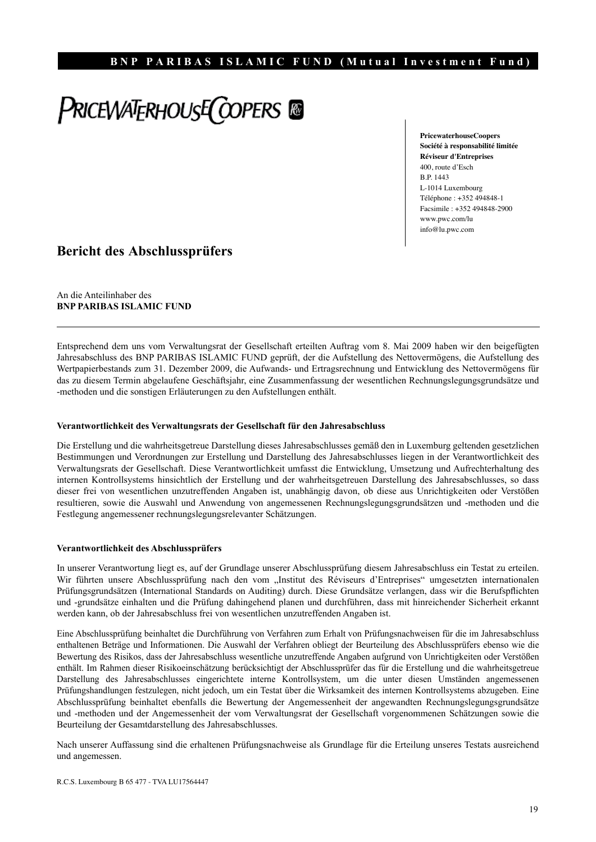# PRICEWATERHOUSE COPERS @

**PricewaterhouseCoopers Société à responsabilité limitée Réviseur d'Entreprises** 400, route d'Esch B.P. 1443 L-1014 Luxembourg Téléphone : +352 494848-1 Facsimile : +352 494848-2900 www.pwc.com/lu info@lu.pwc.com

# **Bericht des Abschlussprüfers**

An die Anteilinhaber des **BNP PARIBAS ISLAMIC FUND**

Entsprechend dem uns vom Verwaltungsrat der Gesellschaft erteilten Auftrag vom 8. Mai 2009 haben wir den beigefügten Jahresabschluss des BNP PARIBAS ISLAMIC FUND geprüft, der die Aufstellung des Nettovermögens, die Aufstellung des Wertpapierbestands zum 31. Dezember 2009, die Aufwands- und Ertragsrechnung und Entwicklung des Nettovermögens für das zu diesem Termin abgelaufene Geschäftsjahr, eine Zusammenfassung der wesentlichen Rechnungslegungsgrundsätze und -methoden und die sonstigen Erläuterungen zu den Aufstellungen enthält.

#### **Verantwortlichkeit des Verwaltungsrats der Gesellschaft für den Jahresabschluss**

Die Erstellung und die wahrheitsgetreue Darstellung dieses Jahresabschlusses gemäß den in Luxemburg geltenden gesetzlichen Bestimmungen und Verordnungen zur Erstellung und Darstellung des Jahresabschlusses liegen in der Verantwortlichkeit des Verwaltungsrats der Gesellschaft. Diese Verantwortlichkeit umfasst die Entwicklung, Umsetzung und Aufrechterhaltung des internen Kontrollsystems hinsichtlich der Erstellung und der wahrheitsgetreuen Darstellung des Jahresabschlusses, so dass dieser frei von wesentlichen unzutreffenden Angaben ist, unabhängig davon, ob diese aus Unrichtigkeiten oder Verstößen resultieren, sowie die Auswahl und Anwendung von angemessenen Rechnungslegungsgrundsätzen und -methoden und die Festlegung angemessener rechnungslegungsrelevanter Schätzungen.

#### **Verantwortlichkeit des Abschlussprüfers**

In unserer Verantwortung liegt es, auf der Grundlage unserer Abschlussprüfung diesem Jahresabschluss ein Testat zu erteilen. Wir führten unsere Abschlussprüfung nach den vom "Institut des Réviseurs d'Entreprises" umgesetzten internationalen Prüfungsgrundsätzen (International Standards on Auditing) durch. Diese Grundsätze verlangen, dass wir die Berufspflichten und -grundsätze einhalten und die Prüfung dahingehend planen und durchführen, dass mit hinreichender Sicherheit erkannt werden kann, ob der Jahresabschluss frei von wesentlichen unzutreffenden Angaben ist.

Eine Abschlussprüfung beinhaltet die Durchführung von Verfahren zum Erhalt von Prüfungsnachweisen für die im Jahresabschluss enthaltenen Beträge und Informationen. Die Auswahl der Verfahren obliegt der Beurteilung des Abschlussprüfers ebenso wie die Bewertung des Risikos, dass der Jahresabschluss wesentliche unzutreffende Angaben aufgrund von Unrichtigkeiten oder Verstößen enthält. Im Rahmen dieser Risikoeinschätzung berücksichtigt der Abschlussprüfer das für die Erstellung und die wahrheitsgetreue Darstellung des Jahresabschlusses eingerichtete interne Kontrollsystem, um die unter diesen Umständen angemessenen Prüfungshandlungen festzulegen, nicht jedoch, um ein Testat über die Wirksamkeit des internen Kontrollsystems abzugeben. Eine Abschlussprüfung beinhaltet ebenfalls die Bewertung der Angemessenheit der angewandten Rechnungslegungsgrundsätze und -methoden und der Angemessenheit der vom Verwaltungsrat der Gesellschaft vorgenommenen Schätzungen sowie die Beurteilung der Gesamtdarstellung des Jahresabschlusses.

Nach unserer Auffassung sind die erhaltenen Prüfungsnachweise als Grundlage für die Erteilung unseres Testats ausreichend und angemessen.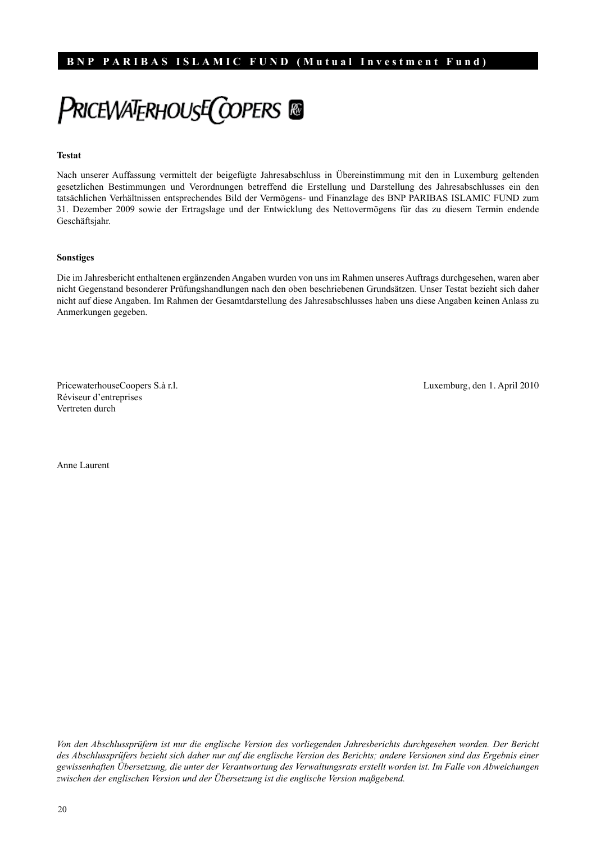# **PRICEWATERHOUSE COPERS**

#### **Testat**

Nach unserer Auffassung vermittelt der beigefügte Jahresabschluss in Übereinstimmung mit den in Luxemburg geltenden gesetzlichen Bestimmungen und Verordnungen betreffend die Erstellung und Darstellung des Jahresabschlusses ein den tatsächlichen Verhältnissen entsprechendes Bild der Vermögens- und Finanzlage des BNP PARIBAS ISLAMIC FUND zum 31. Dezember 2009 sowie der Ertragslage und der Entwicklung des Nettovermögens für das zu diesem Termin endende Geschäftsjahr.

#### **Sonstiges**

Die im Jahresbericht enthaltenen ergänzenden Angaben wurden von uns im Rahmen unseres Auftrags durchgesehen, waren aber nicht Gegenstand besonderer Prüfungshandlungen nach den oben beschriebenen Grundsätzen. Unser Testat bezieht sich daher nicht auf diese Angaben. Im Rahmen der Gesamtdarstellung des Jahresabschlusses haben uns diese Angaben keinen Anlass zu Anmerkungen gegeben.

PricewaterhouseCoopers S.à r.l. Luxemburg, den 1. April 2010 Réviseur d'entreprises Vertreten durch

Anne Laurent

*Von den Abschlussprüfern ist nur die englische Version des vorliegenden Jahresberichts durchgesehen worden. Der Bericht des Abschlussprüfers bezieht sich daher nur auf die englische Version des Berichts; andere Versionen sind das Ergebnis einer gewissenhaften Übersetzung, die unter der Verantwortung des Verwaltungsrats erstellt worden ist. Im Falle von Abweichungen zwischen der englischen Version und der Übersetzung ist die englische Version maßgebend.*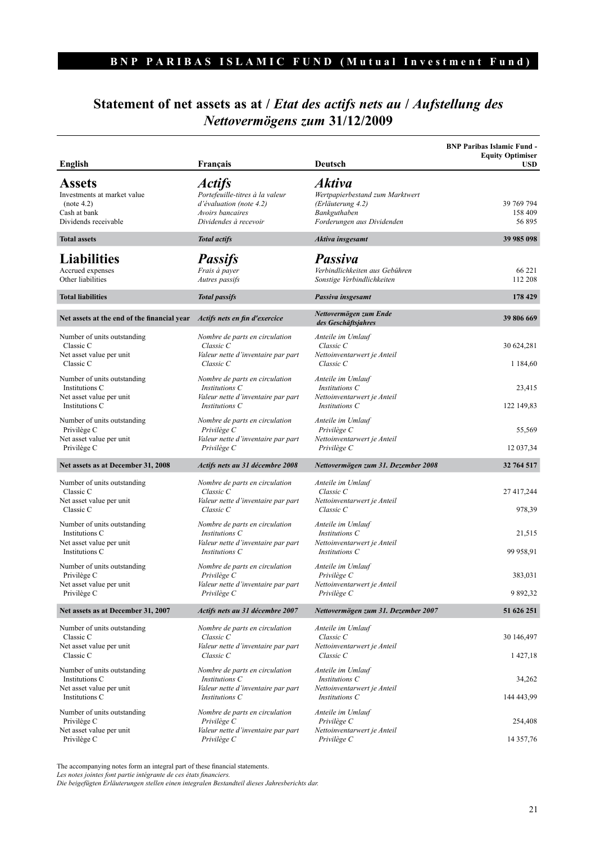# **Statement of net assets as at /** *Etat des actifs nets au* **/** *Aufstellung des Nettovermögens zum* **31/12/2009**

| English                                                                                            | Français                                                                                                                           | Deutsch                                                                                                             | <b>BNP Paribas Islamic Fund -</b><br><b>Equity Optimiser</b><br><b>USD</b> |
|----------------------------------------------------------------------------------------------------|------------------------------------------------------------------------------------------------------------------------------------|---------------------------------------------------------------------------------------------------------------------|----------------------------------------------------------------------------|
| <b>Assets</b><br>Investments at market value<br>(note 4.2)<br>Cash at bank<br>Dividends receivable | <i><b>Actifs</b></i><br>Portefeuille-titres à la valeur<br>$d'$ évaluation (note 4.2)<br>Avoirs bancaires<br>Dividendes à recevoir | <b>Aktiva</b><br>Wertpapierbestand zum Marktwert<br>(Erläuterung 4.2)<br>Bankguthaben<br>Forderungen aus Dividenden | 39 769 794<br>158 409<br>56 895                                            |
| <b>Total assets</b>                                                                                | <b>Total actifs</b>                                                                                                                | Aktiva insgesamt                                                                                                    | 39 985 098                                                                 |
| <b>Liabilities</b><br>Accrued expenses<br>Other liabilities                                        | <b>Passifs</b><br>Frais à payer<br>Autres passifs                                                                                  | <b>Passiva</b><br>Verbindlichkeiten aus Gebühren<br>Sonstige Verbindlichkeiten                                      | 66 221<br>112 208                                                          |
| <b>Total liabilities</b>                                                                           | <b>Total passifs</b>                                                                                                               | Passiva insgesamt                                                                                                   | 178 429                                                                    |
| Net assets at the end of the financial year                                                        | Actifs nets en fin d'exercice                                                                                                      | Nettovermögen zum Ende<br>des Geschäftsjahres                                                                       | 39 806 669                                                                 |
| Number of units outstanding<br>Classic C<br>Net asset value per unit<br>Classic C                  | Nombre de parts en circulation<br>$Classic$ $C$<br>Valeur nette d'inventaire par part<br>Classic C                                 | Anteile im Umlauf<br>Classic C<br>Nettoinventarwert je Anteil<br>Classic C                                          | 30 624,281<br>1 1 8 4 6 0                                                  |
| Number of units outstanding<br>Institutions C<br>Net asset value per unit<br>Institutions C        | Nombre de parts en circulation<br>Institutions C<br>Valeur nette d'inventaire par part<br>Institutions C                           | Anteile im Umlauf<br>Institutions C<br>Nettoinventarwert je Anteil<br>Institutions C                                | 23,415<br>122 149,83                                                       |
| Number of units outstanding<br>Privilège C<br>Net asset value per unit<br>Privilège C              | Nombre de parts en circulation<br>Privilège C<br>Valeur nette d'inventaire par part<br>Privilège C                                 | Anteile im Umlauf<br>Privilège C<br>Nettoinventarwert je Anteil<br>Privilège C                                      | 55,569<br>12 037,34                                                        |
| Net assets as at December 31, 2008                                                                 | Actifs nets au 31 décembre 2008                                                                                                    | Nettovermögen zum 31. Dezember 2008                                                                                 | 32 764 517                                                                 |
| Number of units outstanding<br>Classic C<br>Net asset value per unit<br>Classic C                  | Nombre de parts en circulation<br>Classic C<br>Valeur nette d'inventaire par part<br>Classic C                                     | Anteile im Umlauf<br>Classic C<br>Nettoinventarwert je Anteil<br>Classic C                                          | 27 417,244<br>978,39                                                       |
| Number of units outstanding<br>Institutions C<br>Net asset value per unit<br>Institutions C        | Nombre de parts en circulation<br>Institutions C<br>Valeur nette d'inventaire par part<br>Institutions C                           | Anteile im Umlauf<br>Institutions C<br>Nettoinventarwert je Anteil<br>Institutions C                                | 21,515<br>99 958,91                                                        |
| Number of units outstanding<br>Privilège C<br>Net asset value per unit<br>Privilège C              | Nombre de parts en circulation<br>Privilège C<br>Valeur nette d'inventaire par part<br>Privilège C                                 | Anteile im Umlauf<br>Privilège C<br>Nettoinventarwert je Anteil<br>Privilège C                                      | 383,031<br>9 892,32                                                        |
| Net assets as at December 31, 2007                                                                 | Actifs nets au 31 décembre 2007                                                                                                    | Nettovermögen zum 31. Dezember 2007                                                                                 | 51 626 251                                                                 |
| Number of units outstanding<br>Classic C<br>Net asset value per unit<br>Classic C                  | Nombre de parts en circulation<br>Classic C<br>Valeur nette d'inventaire par part<br>Classic C                                     | Anteile im Umlauf<br>Classic C<br>Nettoinventarwert je Anteil<br>Classic C                                          | 30 146,497<br>1427,18                                                      |
| Number of units outstanding<br>Institutions C<br>Net asset value per unit<br>Institutions C        | Nombre de parts en circulation<br>Institutions C<br>Valeur nette d'inventaire par part<br>Institutions C                           | Anteile im Umlauf<br>Institutions C<br>Nettoinventarwert je Anteil<br>Institutions C                                | 34,262<br>144 443,99                                                       |
| Number of units outstanding<br>Privilège C<br>Net asset value per unit<br>Privilège C              | Nombre de parts en circulation<br>Privilège C<br>Valeur nette d'inventaire par part<br>Privilège C                                 | Anteile im Umlauf<br>Privilège C<br>Nettoinventarwert je Anteil<br>Privilège C                                      | 254,408<br>14 357,76                                                       |

The accompanying notes form an integral part of these financial statements. *Les notes jointes font partie intégrante de ces états financiers.*

*Die beigefügten Erläuterungen stellen einen integralen Bestandteil dieses Jahresberichts dar.*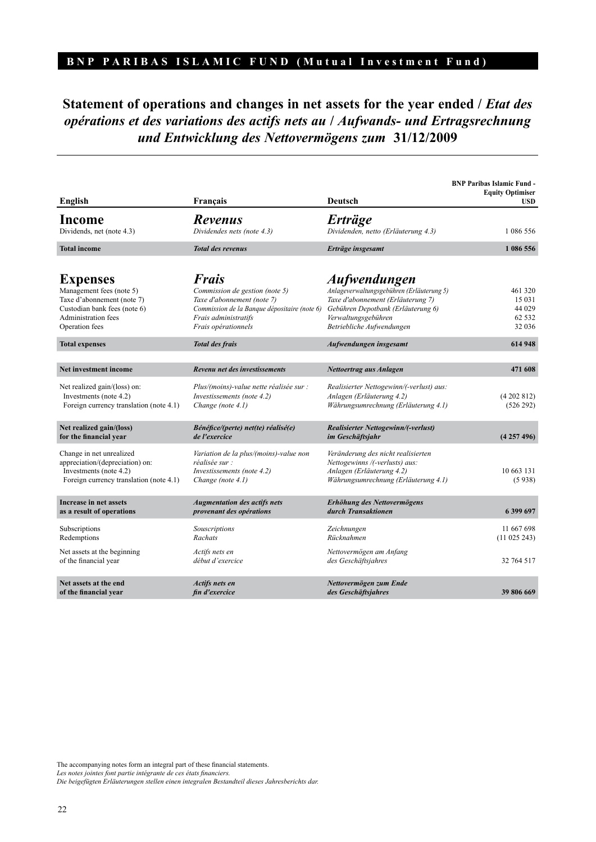# **Statement of operations and changes in net assets for the year ended /** *Etat des opérations et des variations des actifs nets au* **/** *Aufwands- und Ertragsrechnung und Entwicklung des Nettovermögens zum* **31/12/2009**

| English                                                                                                                                                   | Français                                                                                                                                                                    | <b>Deutsch</b>                                                                                                                                                                           | <b>BNP Paribas Islamic Fund -</b><br><b>Equity Optimiser</b><br><b>USD</b> |
|-----------------------------------------------------------------------------------------------------------------------------------------------------------|-----------------------------------------------------------------------------------------------------------------------------------------------------------------------------|------------------------------------------------------------------------------------------------------------------------------------------------------------------------------------------|----------------------------------------------------------------------------|
| Income<br>Dividends, net (note 4.3)                                                                                                                       | <b>Revenus</b><br>Dividendes nets (note 4.3)                                                                                                                                | <b>Erträge</b><br>Dividenden, netto (Erläuterung 4.3)                                                                                                                                    | 1 086 556                                                                  |
| <b>Total income</b>                                                                                                                                       | <b>Total des revenus</b>                                                                                                                                                    | Erträge insgesamt                                                                                                                                                                        | 1 086 556                                                                  |
| <b>Expenses</b><br>Management fees (note 5)<br>Taxe d'abonnement (note 7)<br>Custodian bank fees (note 6)<br><b>Administration fees</b><br>Operation fees | <b>Frais</b><br>Commission de gestion (note 5)<br>Taxe d'abonnement (note 7)<br>Commission de la Banque dépositaire (note 6)<br>Frais administratifs<br>Frais opérationnels | Aufwendungen<br>Anlageverwaltungsgebühren (Erläuterung 5)<br>Taxe d'abonnement (Erläuterung 7)<br>Gebühren Depotbank (Erläuterung 6)<br>Verwaltungsgebühren<br>Betriebliche Aufwendungen | 461 320<br>15 031<br>44 029<br>62 5 32<br>32 036                           |
| <b>Total expenses</b>                                                                                                                                     | <b>Total des frais</b>                                                                                                                                                      | Aufwendungen insgesamt                                                                                                                                                                   | 614 948                                                                    |
| Net investment income                                                                                                                                     | Revenu net des investissements                                                                                                                                              | Nettoertrag aus Anlagen                                                                                                                                                                  | 471 608                                                                    |
| Net realized gain/(loss) on:<br>Investments (note 4.2)<br>Foreign currency translation (note 4.1)                                                         | Plus/(moins)-value nette réalisée sur :<br>Investissements (note 4.2)<br>Change (note 4.1)                                                                                  | Realisierter Nettogewinn/(-verlust) aus:<br>Anlagen (Erläuterung 4.2)<br>Währungsumrechnung (Erläuterung 4.1)                                                                            | (4202812)<br>(526 292)                                                     |
| Net realized gain/(loss)<br>for the financial year                                                                                                        | Bénéfice/(perte) net(te) réalisé(e)<br>de l'exercice                                                                                                                        | <b>Realisierter Nettogewinn/(-verlust)</b><br>im Geschäftsjahr                                                                                                                           | (4257496)                                                                  |
| Change in net unrealized<br>appreciation/(depreciation) on:<br>Investments (note 4.2)<br>Foreign currency translation (note 4.1)                          | Variation de la plus/(moins)-value non<br>réalisée sur :<br>Investissements (note 4.2)<br>Change (note 4.1)                                                                 | Veränderung des nicht realisierten<br>Nettogewinns /(-verlusts) aus:<br>Anlagen (Erläuterung 4.2)<br>Währungsumrechnung (Erläuterung 4.1)                                                | 10 663 131<br>(5938)                                                       |
| Increase in net assets<br>as a result of operations                                                                                                       | <b>Augmentation des actifs nets</b><br>provenant des opérations                                                                                                             | Erhöhung des Nettovermögens<br>durch Transaktionen                                                                                                                                       | 6 399 697                                                                  |
| Subscriptions<br>Redemptions                                                                                                                              | Souscriptions<br>Rachats                                                                                                                                                    | Zeichnungen<br>Rücknahmen                                                                                                                                                                | 11 667 698<br>(11 025 243)                                                 |
| Net assets at the beginning<br>of the financial year                                                                                                      | Actifs nets en<br>début d'exercice                                                                                                                                          | Nettovermögen am Anfang<br>des Geschäftsjahres                                                                                                                                           | 32 764 517                                                                 |
| Net assets at the end<br>of the financial year                                                                                                            | <b>Actifs nets en</b><br>fin d'exercice                                                                                                                                     | Nettovermögen zum Ende<br>des Geschäftsjahres                                                                                                                                            | 39 806 669                                                                 |

The accompanying notes form an integral part of these financial statements.

*Les notes jointes font partie intégrante de ces états financiers.*

*Die beigefügten Erläuterungen stellen einen integralen Bestandteil dieses Jahresberichts dar.*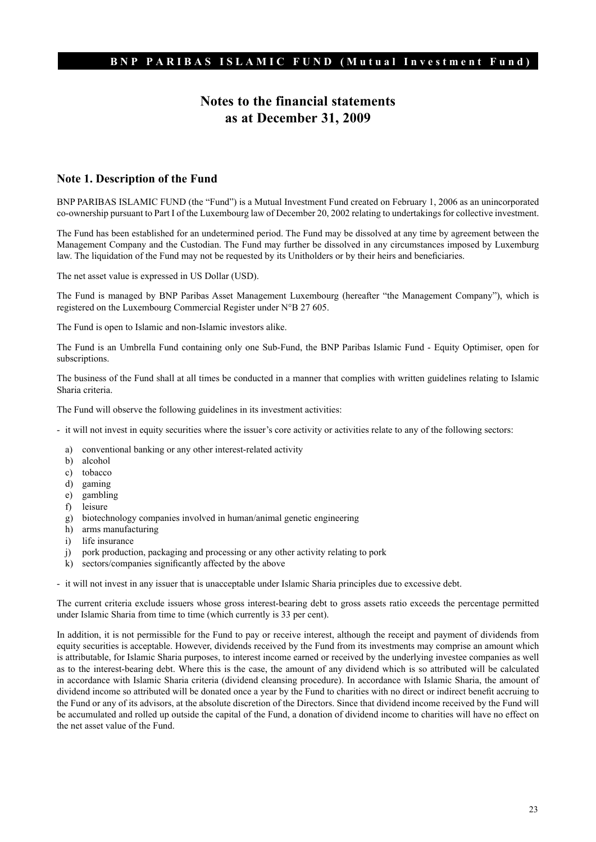# **Notes to the financial statements as at December 31, 2009**

#### **Note 1. Description of the Fund**

BNP PARIBAS ISLAMIC FUND (the "Fund") is a Mutual Investment Fund created on February 1, 2006 as an unincorporated co-ownership pursuant to Part I of the Luxembourg law of December 20, 2002 relating to undertakings for collective investment.

The Fund has been established for an undetermined period. The Fund may be dissolved at any time by agreement between the Management Company and the Custodian. The Fund may further be dissolved in any circumstances imposed by Luxemburg law. The liquidation of the Fund may not be requested by its Unitholders or by their heirs and beneficiaries.

The net asset value is expressed in US Dollar (USD).

The Fund is managed by BNP Paribas Asset Management Luxembourg (hereafter "the Management Company"), which is registered on the Luxembourg Commercial Register under N°B 27 605.

The Fund is open to Islamic and non-Islamic investors alike.

The Fund is an Umbrella Fund containing only one Sub-Fund, the BNP Paribas Islamic Fund - Equity Optimiser, open for subscriptions.

The business of the Fund shall at all times be conducted in a manner that complies with written guidelines relating to Islamic Sharia criteria.

The Fund will observe the following guidelines in its investment activities:

- it will not invest in equity securities where the issuer's core activity or activities relate to any of the following sectors:

- a) conventional banking or any other interest-related activity
- b) alcohol
- c) tobacco
- d) gaming
- e) gambling
- f) leisure
- g) biotechnology companies involved in human/animal genetic engineering
- h) arms manufacturing
- i) life insurance
- j) pork production, packaging and processing or any other activity relating to pork
- k) sectors/companies significantly affected by the above

- it will not invest in any issuer that is unacceptable under Islamic Sharia principles due to excessive debt.

The current criteria exclude issuers whose gross interest-bearing debt to gross assets ratio exceeds the percentage permitted under Islamic Sharia from time to time (which currently is 33 per cent).

In addition, it is not permissible for the Fund to pay or receive interest, although the receipt and payment of dividends from equity securities is acceptable. However, dividends received by the Fund from its investments may comprise an amount which is attributable, for Islamic Sharia purposes, to interest income earned or received by the underlying investee companies as well as to the interest-bearing debt. Where this is the case, the amount of any dividend which is so attributed will be calculated in accordance with Islamic Sharia criteria (dividend cleansing procedure). In accordance with Islamic Sharia, the amount of dividend income so attributed will be donated once a year by the Fund to charities with no direct or indirect benefit accruing to the Fund or any of its advisors, at the absolute discretion of the Directors. Since that dividend income received by the Fund will be accumulated and rolled up outside the capital of the Fund, a donation of dividend income to charities will have no effect on the net asset value of the Fund.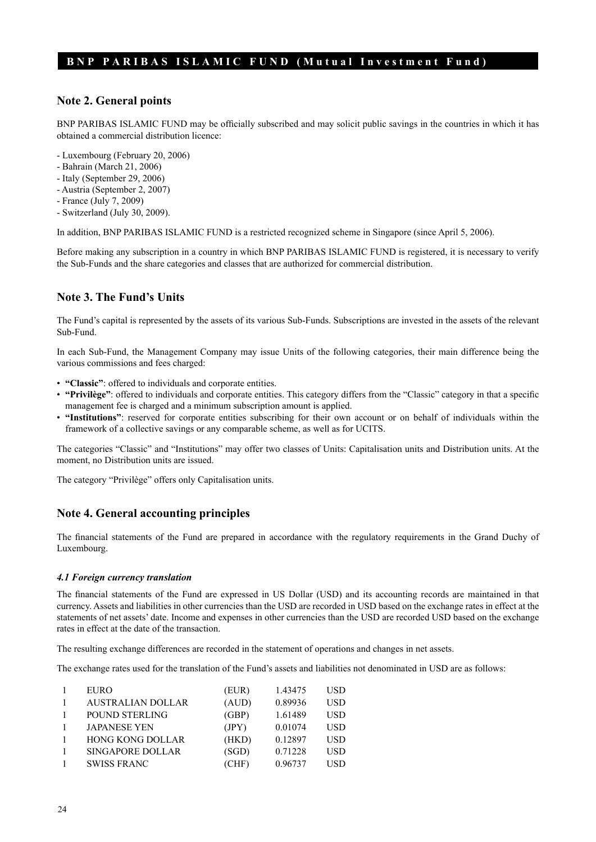#### **Note 2. General points**

BNP PARIBAS ISLAMIC FUND may be officially subscribed and may solicit public savings in the countries in which it has obtained a commercial distribution licence:

- Luxembourg (February 20, 2006)
- Bahrain (March 21, 2006)
- Italy (September 29, 2006)
- Austria (September 2, 2007)
- France (July 7, 2009)
- Switzerland (July 30, 2009).

In addition, BNP PARIBAS ISLAMIC FUND is a restricted recognized scheme in Singapore (since April 5, 2006).

Before making any subscription in a country in which BNP PARIBAS ISLAMIC FUND is registered, it is necessary to verify the Sub-Funds and the share categories and classes that are authorized for commercial distribution.

#### **Note 3. The Fund's Units**

The Fund's capital is represented by the assets of its various Sub-Funds. Subscriptions are invested in the assets of the relevant Sub-Fund.

In each Sub-Fund, the Management Company may issue Units of the following categories, their main difference being the various commissions and fees charged:

- **"Classic"**: offered to individuals and corporate entities.
- **"Privilège"**: offered to individuals and corporate entities. This category differs from the "Classic" category in that a specific management fee is charged and a minimum subscription amount is applied.
- **"Institutions"**: reserved for corporate entities subscribing for their own account or on behalf of individuals within the framework of a collective savings or any comparable scheme, as well as for UCITS.

The categories "Classic" and "Institutions" may offer two classes of Units: Capitalisation units and Distribution units. At the moment, no Distribution units are issued.

The category "Privilège" offers only Capitalisation units.

#### **Note 4. General accounting principles**

The financial statements of the Fund are prepared in accordance with the regulatory requirements in the Grand Duchy of Luxembourg.

#### *4.1 Foreign currency translation*

The financial statements of the Fund are expressed in US Dollar (USD) and its accounting records are maintained in that currency. Assets and liabilities in other currencies than the USD are recorded in USD based on the exchange rates in effect at the statements of net assets' date. Income and expenses in other currencies than the USD are recorded USD based on the exchange rates in effect at the date of the transaction.

The resulting exchange differences are recorded in the statement of operations and changes in net assets.

The exchange rates used for the translation of the Fund's assets and liabilities not denominated in USD are as follows:

| <b>EURO</b>             | (EUR) | 1.43475 | USD        |
|-------------------------|-------|---------|------------|
| AUSTRALIAN DOLLAR       | (AUD) | 0.89936 | USD        |
| POUND STERLING          | (GBP) | 1.61489 | <b>USD</b> |
| <b>JAPANESE YEN</b>     | (JPY) | 0.01074 | <b>USD</b> |
| <b>HONG KONG DOLLAR</b> | (HKD) | 0.12897 | USD        |
| <b>SINGAPORE DOLLAR</b> | (SGD) | 0.71228 | USD        |
| <b>SWISS FRANC</b>      | (CHF) | 0.96737 | USD        |
|                         |       |         |            |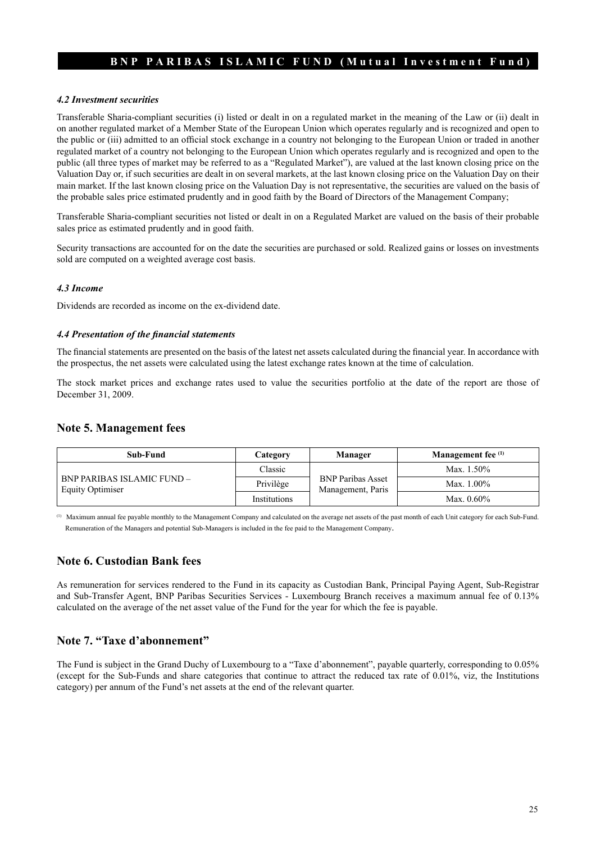#### *4.2 Investment securities*

Transferable Sharia-compliant securities (i) listed or dealt in on a regulated market in the meaning of the Law or (ii) dealt in on another regulated market of a Member State of the European Union which operates regularly and is recognized and open to the public or (iii) admitted to an official stock exchange in a country not belonging to the European Union or traded in another regulated market of a country not belonging to the European Union which operates regularly and is recognized and open to the public (all three types of market may be referred to as a "Regulated Market"), are valued at the last known closing price on the Valuation Day or, if such securities are dealt in on several markets, at the last known closing price on the Valuation Day on their main market. If the last known closing price on the Valuation Day is not representative, the securities are valued on the basis of the probable sales price estimated prudently and in good faith by the Board of Directors of the Management Company;

Transferable Sharia-compliant securities not listed or dealt in on a Regulated Market are valued on the basis of their probable sales price as estimated prudently and in good faith.

Security transactions are accounted for on the date the securities are purchased or sold. Realized gains or losses on investments sold are computed on a weighted average cost basis.

#### *4.3 Income*

Dividends are recorded as income on the ex-dividend date.

#### *4.4 Presentation of the financial statements*

The financial statements are presented on the basis of the latest net assets calculated during the financial year. In accordance with the prospectus, the net assets were calculated using the latest exchange rates known at the time of calculation.

The stock market prices and exchange rates used to value the securities portfolio at the date of the report are those of December 31, 2009.

#### **Note 5. Management fees**

| Sub-Fund                                                     | Category     | Manager                                       | Management fee <sup>(1)</sup> |
|--------------------------------------------------------------|--------------|-----------------------------------------------|-------------------------------|
| <b>BNP PARIBAS ISLAMIC FUND -</b><br><b>Equity Optimiser</b> | Classic      | <b>BNP Paribas Asset</b><br>Management, Paris | Max. $1.50\%$                 |
|                                                              | Privilège    |                                               | Max. $1.00\%$                 |
|                                                              | Institutions |                                               | Max. $0.60\%$                 |

(1) Maximum annual fee payable monthly to the Management Company and calculated on the average net assets of the past month of each Unit category for each Sub-Fund. Remuneration of the Managers and potential Sub-Managers is included in the fee paid to the Management Company.

#### **Note 6. Custodian Bank fees**

As remuneration for services rendered to the Fund in its capacity as Custodian Bank, Principal Paying Agent, Sub-Registrar and Sub-Transfer Agent, BNP Paribas Securities Services - Luxembourg Branch receives a maximum annual fee of 0.13% calculated on the average of the net asset value of the Fund for the year for which the fee is payable.

#### **Note 7. "Taxe d'abonnement"**

The Fund is subject in the Grand Duchy of Luxembourg to a "Taxe d'abonnement", payable quarterly, corresponding to 0.05% (except for the Sub-Funds and share categories that continue to attract the reduced tax rate of 0.01%, viz, the Institutions category) per annum of the Fund's net assets at the end of the relevant quarter.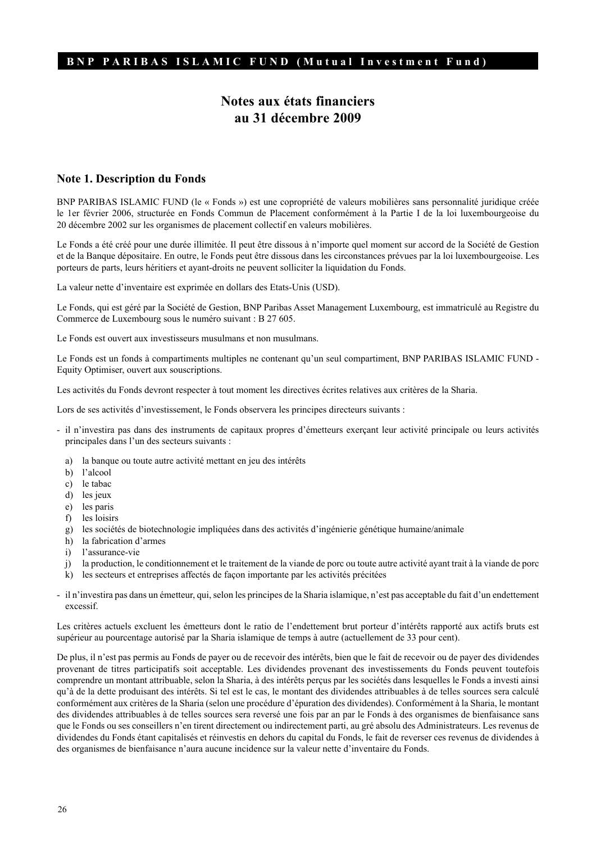# **Notes aux états financiers au 31 décembre 2009**

#### **Note 1. Description du Fonds**

BNP PARIBAS ISLAMIC FUND (le « Fonds ») est une copropriété de valeurs mobilières sans personnalité juridique créée le 1er février 2006, structurée en Fonds Commun de Placement conformément à la Partie I de la loi luxembourgeoise du 20 décembre 2002 sur les organismes de placement collectif en valeurs mobilières.

Le Fonds a été créé pour une durée illimitée. Il peut être dissous à n'importe quel moment sur accord de la Société de Gestion et de la Banque dépositaire. En outre, le Fonds peut être dissous dans les circonstances prévues par la loi luxembourgeoise. Les porteurs de parts, leurs héritiers et ayant-droits ne peuvent solliciter la liquidation du Fonds.

La valeur nette d'inventaire est exprimée en dollars des Etats-Unis (USD).

Le Fonds, qui est géré par la Société de Gestion, BNP Paribas Asset Management Luxembourg, est immatriculé au Registre du Commerce de Luxembourg sous le numéro suivant : B 27 605.

Le Fonds est ouvert aux investisseurs musulmans et non musulmans.

Le Fonds est un fonds à compartiments multiples ne contenant qu'un seul compartiment, BNP PARIBAS ISLAMIC FUND -Equity Optimiser, ouvert aux souscriptions.

Les activités du Fonds devront respecter à tout moment les directives écrites relatives aux critères de la Sharia.

Lors de ses activités d'investissement, le Fonds observera les principes directeurs suivants :

- il n'investira pas dans des instruments de capitaux propres d'émetteurs exerçant leur activité principale ou leurs activités principales dans l'un des secteurs suivants :
	- a) la banque ou toute autre activité mettant en jeu des intérêts
	- b) l'alcool
	- c) le tabac
	- d) les jeux
	- e) les paris
	- f) les loisirs
	- g) les sociétés de biotechnologie impliquées dans des activités d'ingénierie génétique humaine/animale
	- h) la fabrication d'armes
	- i) l'assurance-vie
	- j) la production, le conditionnement et le traitement de la viande de porc ou toute autre activité ayant trait à la viande de porc
	- k) les secteurs et entreprises affectés de façon importante par les activités précitées
- il n'investira pas dans un émetteur, qui, selon les principes de la Sharia islamique, n'est pas acceptable du fait d'un endettement excessif.

Les critères actuels excluent les émetteurs dont le ratio de l'endettement brut porteur d'intérêts rapporté aux actifs bruts est supérieur au pourcentage autorisé par la Sharia islamique de temps à autre (actuellement de 33 pour cent).

De plus, il n'est pas permis au Fonds de payer ou de recevoir des intérêts, bien que le fait de recevoir ou de payer des dividendes provenant de titres participatifs soit acceptable. Les dividendes provenant des investissements du Fonds peuvent toutefois comprendre un montant attribuable, selon la Sharia, à des intérêts perçus par les sociétés dans lesquelles le Fonds a investi ainsi qu'à de la dette produisant des intérêts. Si tel est le cas, le montant des dividendes attribuables à de telles sources sera calculé conformément aux critères de la Sharia (selon une procédure d'épuration des dividendes). Conformément à la Sharia, le montant des dividendes attribuables à de telles sources sera reversé une fois par an par le Fonds à des organismes de bienfaisance sans que le Fonds ou ses conseillers n'en tirent directement ou indirectement parti, au gré absolu des Administrateurs. Les revenus de dividendes du Fonds étant capitalisés et réinvestis en dehors du capital du Fonds, le fait de reverser ces revenus de dividendes à des organismes de bienfaisance n'aura aucune incidence sur la valeur nette d'inventaire du Fonds.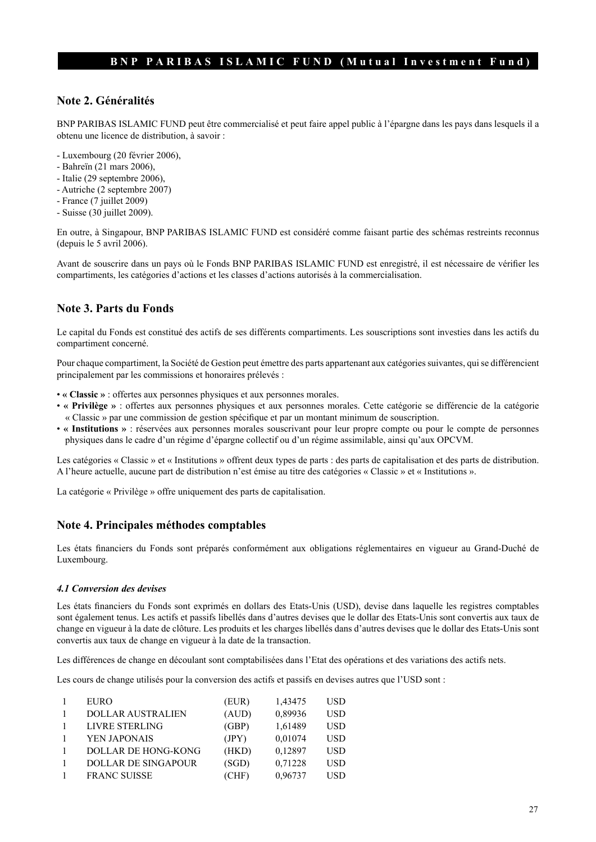#### **Note 2. Généralités**

BNP PARIBAS ISLAMIC FUND peut être commercialisé et peut faire appel public à l'épargne dans les pays dans lesquels il a obtenu une licence de distribution, à savoir :

- Luxembourg (20 février 2006),
- Bahreïn (21 mars 2006),
- Italie (29 septembre 2006),
- Autriche (2 septembre 2007)
- France (7 juillet 2009)
- Suisse (30 juillet 2009).

En outre, à Singapour, BNP PARIBAS ISLAMIC FUND est considéré comme faisant partie des schémas restreints reconnus (depuis le 5 avril 2006).

Avant de souscrire dans un pays où le Fonds BNP PARIBAS ISLAMIC FUND est enregistré, il est nécessaire de vérifier les compartiments, les catégories d'actions et les classes d'actions autorisés à la commercialisation.

#### **Note 3. Parts du Fonds**

Le capital du Fonds est constitué des actifs de ses différents compartiments. Les souscriptions sont investies dans les actifs du compartiment concerné.

Pour chaque compartiment, la Société de Gestion peut émettre des parts appartenant aux catégories suivantes, qui se différencient principalement par les commissions et honoraires prélevés :

- **« Classic »** : offertes aux personnes physiques et aux personnes morales.
- **« Privilège »** : offertes aux personnes physiques et aux personnes morales. Cette catégorie se différencie de la catégorie « Classic » par une commission de gestion spécifique et par un montant minimum de souscription.
- **« Institutions »** : réservées aux personnes morales souscrivant pour leur propre compte ou pour le compte de personnes physiques dans le cadre d'un régime d'épargne collectif ou d'un régime assimilable, ainsi qu'aux OPCVM.

Les catégories « Classic » et « Institutions » offrent deux types de parts : des parts de capitalisation et des parts de distribution. A l'heure actuelle, aucune part de distribution n'est émise au titre des catégories « Classic » et « Institutions ».

La catégorie « Privilège » offre uniquement des parts de capitalisation.

#### **Note 4. Principales méthodes comptables**

Les états financiers du Fonds sont préparés conformément aux obligations réglementaires en vigueur au Grand-Duché de Luxembourg.

#### *4.1 Conversion des devises*

Les états financiers du Fonds sont exprimés en dollars des Etats-Unis (USD), devise dans laquelle les registres comptables sont également tenus. Les actifs et passifs libellés dans d'autres devises que le dollar des Etats-Unis sont convertis aux taux de change en vigueur à la date de clôture. Les produits et les charges libellés dans d'autres devises que le dollar des Etats-Unis sont convertis aux taux de change en vigueur à la date de la transaction.

Les différences de change en découlant sont comptabilisées dans l'Etat des opérations et des variations des actifs nets.

Les cours de change utilisés pour la conversion des actifs et passifs en devises autres que l'USD sont :

| <b>EURO</b>                | (EUR) | 1,43475 | <b>USD</b> |
|----------------------------|-------|---------|------------|
| <b>DOLLAR AUSTRALIEN</b>   | (AUD) | 0,89936 | <b>USD</b> |
| <b>LIVRE STERLING</b>      | (GBP) | 1,61489 | <b>USD</b> |
| YEN JAPONAIS               | (JPY) | 0,01074 | USD        |
| DOLLAR DE HONG-KONG        | (HKD) | 0,12897 | <b>USD</b> |
| <b>DOLLAR DE SINGAPOUR</b> | (SGD) | 0,71228 | USD        |
| <b>FRANC SUISSE</b>        | (CHF) | 0,96737 | USD        |
|                            |       |         |            |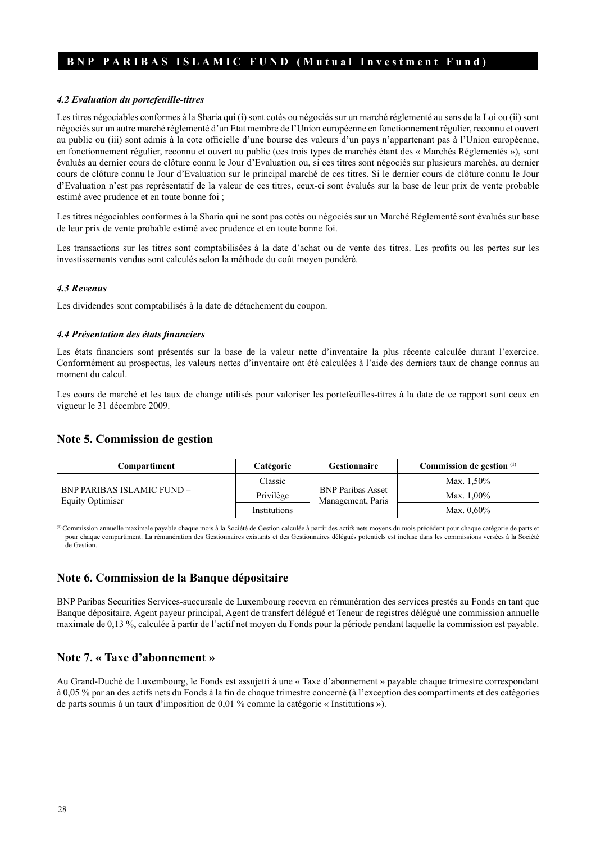#### *4.2 Evaluation du portefeuille-titres*

Les titres négociables conformes à la Sharia qui (i) sont cotés ou négociés sur un marché réglementé au sens de la Loi ou (ii) sont négociés sur un autre marché réglementé d'un Etat membre de l'Union européenne en fonctionnement régulier, reconnu et ouvert au public ou (iii) sont admis à la cote officielle d'une bourse des valeurs d'un pays n'appartenant pas à l'Union européenne, en fonctionnement régulier, reconnu et ouvert au public (ces trois types de marchés étant des « Marchés Réglementés »), sont évalués au dernier cours de clôture connu le Jour d'Evaluation ou, si ces titres sont négociés sur plusieurs marchés, au dernier cours de clôture connu le Jour d'Evaluation sur le principal marché de ces titres. Si le dernier cours de clôture connu le Jour d'Evaluation n'est pas représentatif de la valeur de ces titres, ceux-ci sont évalués sur la base de leur prix de vente probable estimé avec prudence et en toute bonne foi ;

Les titres négociables conformes à la Sharia qui ne sont pas cotés ou négociés sur un Marché Réglementé sont évalués sur base de leur prix de vente probable estimé avec prudence et en toute bonne foi.

Les transactions sur les titres sont comptabilisées à la date d'achat ou de vente des titres. Les profits ou les pertes sur les investissements vendus sont calculés selon la méthode du coût moyen pondéré.

#### *4.3 Revenus*

Les dividendes sont comptabilisés à la date de détachement du coupon.

#### *4.4 Présentation des états financiers*

Les états financiers sont présentés sur la base de la valeur nette d'inventaire la plus récente calculée durant l'exercice. Conformément au prospectus, les valeurs nettes d'inventaire ont été calculées à l'aide des derniers taux de change connus au moment du calcul.

Les cours de marché et les taux de change utilisés pour valoriser les portefeuilles-titres à la date de ce rapport sont ceux en vigueur le 31 décembre 2009.

#### **Note 5. Commission de gestion**

| Compartiment                                                 | Catégorie    | <b>Gestionnaire</b>                           | Commission de gestion (1) |
|--------------------------------------------------------------|--------------|-----------------------------------------------|---------------------------|
| <b>BNP PARIBAS ISLAMIC FUND -</b><br><b>Equity Optimiser</b> | Classic      | <b>BNP Paribas Asset</b><br>Management, Paris | Max. 1,50%                |
|                                                              | Privilège    |                                               | Max. $1,00\%$             |
|                                                              | Institutions |                                               | Max. $0.60\%$             |

 $^{(1)}$ Commission annuelle maximale payable chaque mois à la Société de Gestion calculée à partir des actifs nets moyens du mois précédent pour chaque catégorie de parts et pour chaque compartiment. La rémunération des Gestionnaires existants et des Gestionnaires délégués potentiels est incluse dans les commissions versées à la Société de Gestion.

#### **Note 6. Commission de la Banque dépositaire**

BNP Paribas Securities Services-succursale de Luxembourg recevra en rémunération des services prestés au Fonds en tant que Banque dépositaire, Agent payeur principal, Agent de transfert délégué et Teneur de registres délégué une commission annuelle maximale de 0,13 %, calculée à partir de l'actif net moyen du Fonds pour la période pendant laquelle la commission est payable.

#### **Note 7. « Taxe d'abonnement »**

Au Grand-Duché de Luxembourg, le Fonds est assujetti à une « Taxe d'abonnement » payable chaque trimestre correspondant à 0,05 % par an des actifs nets du Fonds à la fin de chaque trimestre concerné (à l'exception des compartiments et des catégories de parts soumis à un taux d'imposition de 0,01 % comme la catégorie « Institutions »).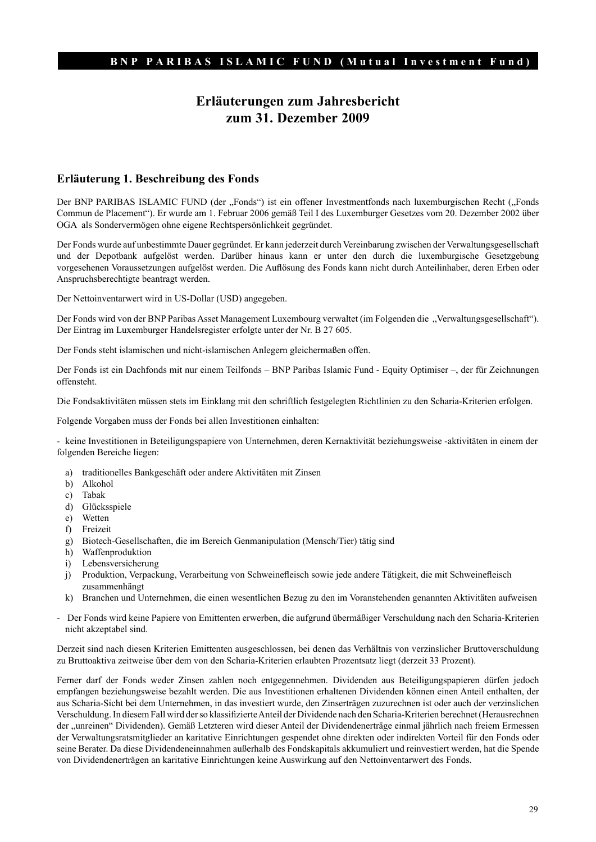# **Erläuterungen zum Jahresbericht zum 31. Dezember 2009**

#### **Erläuterung 1. Beschreibung des Fonds**

Der BNP PARIBAS ISLAMIC FUND (der "Fonds") ist ein offener Investmentfonds nach luxemburgischen Recht ("Fonds Commun de Placement"). Er wurde am 1. Februar 2006 gemäß Teil I des Luxemburger Gesetzes vom 20. Dezember 2002 über OGA als Sondervermögen ohne eigene Rechtspersönlichkeit gegründet.

Der Fonds wurde auf unbestimmte Dauer gegründet. Er kann jederzeit durch Vereinbarung zwischen der Verwaltungsgesellschaft und der Depotbank aufgelöst werden. Darüber hinaus kann er unter den durch die luxemburgische Gesetzgebung vorgesehenen Voraussetzungen aufgelöst werden. Die Auflösung des Fonds kann nicht durch Anteilinhaber, deren Erben oder Anspruchsberechtigte beantragt werden.

Der Nettoinventarwert wird in US-Dollar (USD) angegeben.

Der Fonds wird von der BNP Paribas Asset Management Luxembourg verwaltet (im Folgenden die "Verwaltungsgesellschaft"). Der Eintrag im Luxemburger Handelsregister erfolgte unter der Nr. B 27 605.

Der Fonds steht islamischen und nicht-islamischen Anlegern gleichermaßen offen.

Der Fonds ist ein Dachfonds mit nur einem Teilfonds – BNP Paribas Islamic Fund - Equity Optimiser –, der für Zeichnungen offensteht.

Die Fondsaktivitäten müssen stets im Einklang mit den schriftlich festgelegten Richtlinien zu den Scharia-Kriterien erfolgen.

Folgende Vorgaben muss der Fonds bei allen Investitionen einhalten:

- keine Investitionen in Beteiligungspapiere von Unternehmen, deren Kernaktivität beziehungsweise -aktivitäten in einem der folgenden Bereiche liegen:

- a) traditionelles Bankgeschäft oder andere Aktivitäten mit Zinsen
- b) Alkohol
- c) Tabak
- d) Glücksspiele
- e) Wetten
- f) Freizeit
- g) Biotech-Gesellschaften, die im Bereich Genmanipulation (Mensch/Tier) tätig sind
- h) Waffenproduktion
- i) Lebensversicherung
- j) Produktion, Verpackung, Verarbeitung von Schweinefleisch sowie jede andere Tätigkeit, die mit Schweinefleisch zusammenhängt
- k) Branchen und Unternehmen, die einen wesentlichen Bezug zu den im Voranstehenden genannten Aktivitäten aufweisen
- Der Fonds wird keine Papiere von Emittenten erwerben, die aufgrund übermäßiger Verschuldung nach den Scharia-Kriterien nicht akzeptabel sind.

Derzeit sind nach diesen Kriterien Emittenten ausgeschlossen, bei denen das Verhältnis von verzinslicher Bruttoverschuldung zu Bruttoaktiva zeitweise über dem von den Scharia-Kriterien erlaubten Prozentsatz liegt (derzeit 33 Prozent).

Ferner darf der Fonds weder Zinsen zahlen noch entgegennehmen. Dividenden aus Beteiligungspapieren dürfen jedoch empfangen beziehungsweise bezahlt werden. Die aus Investitionen erhaltenen Dividenden können einen Anteil enthalten, der aus Scharia-Sicht bei dem Unternehmen, in das investiert wurde, den Zinserträgen zuzurechnen ist oder auch der verzinslichen Verschuldung. In diesem Fall wird der so klassifizierte Anteil der Dividende nach den Scharia-Kriterien berechnet (Herausrechnen der "unreinen" Dividenden). Gemäß Letzteren wird dieser Anteil der Dividendenerträge einmal jährlich nach freiem Ermessen der Verwaltungsratsmitglieder an karitative Einrichtungen gespendet ohne direkten oder indirekten Vorteil für den Fonds oder seine Berater. Da diese Dividendeneinnahmen außerhalb des Fondskapitals akkumuliert und reinvestiert werden, hat die Spende von Dividendenerträgen an karitative Einrichtungen keine Auswirkung auf den Nettoinventarwert des Fonds.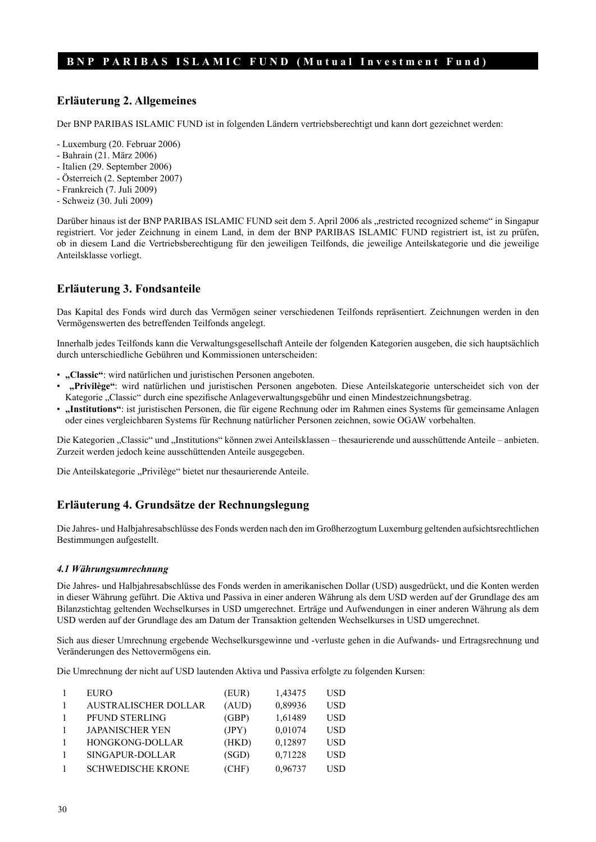#### **Erläuterung 2. Allgemeines**

Der BNP PARIBAS ISLAMIC FUND ist in folgenden Ländern vertriebsberechtigt und kann dort gezeichnet werden:

- Luxemburg (20. Februar 2006)
- Bahrain (21. März 2006)
- Italien (29. September 2006)
- Österreich (2. September 2007)
- Frankreich (7. Juli 2009)
- Schweiz (30. Juli 2009)

Darüber hinaus ist der BNP PARIBAS ISLAMIC FUND seit dem 5. April 2006 als "restricted recognized scheme" in Singapur registriert. Vor jeder Zeichnung in einem Land, in dem der BNP PARIBAS ISLAMIC FUND registriert ist, ist zu prüfen, ob in diesem Land die Vertriebsberechtigung für den jeweiligen Teilfonds, die jeweilige Anteilskategorie und die jeweilige Anteilsklasse vorliegt.

# **Erläuterung 3. Fondsanteile**

Das Kapital des Fonds wird durch das Vermögen seiner verschiedenen Teilfonds repräsentiert. Zeichnungen werden in den Vermögenswerten des betreffenden Teilfonds angelegt.

Innerhalb jedes Teilfonds kann die Verwaltungsgesellschaft Anteile der folgenden Kategorien ausgeben, die sich hauptsächlich durch unterschiedliche Gebühren und Kommissionen unterscheiden:

- **"Classic"**: wird natürlichen und juristischen Personen angeboten.
- **"Privilège"**: wird natürlichen und juristischen Personen angeboten. Diese Anteilskategorie unterscheidet sich von der Kategorie "Classic" durch eine spezifische Anlageverwaltungsgebühr und einen Mindestzeichnungsbetrag.
- **"Institutions"**: ist juristischen Personen, die für eigene Rechnung oder im Rahmen eines Systems für gemeinsame Anlagen oder eines vergleichbaren Systems für Rechnung natürlicher Personen zeichnen, sowie OGAW vorbehalten.

Die Kategorien "Classic" und "Institutions" können zwei Anteilsklassen – thesaurierende und ausschüttende Anteile – anbieten. Zurzeit werden jedoch keine ausschüttenden Anteile ausgegeben.

Die Anteilskategorie "Privilège" bietet nur thesaurierende Anteile.

#### **Erläuterung 4. Grundsätze der Rechnungslegung**

Die Jahres- und Halbjahresabschlüsse des Fonds werden nach den im Großherzogtum Luxemburg geltenden aufsichtsrechtlichen Bestimmungen aufgestellt.

#### *4.1 Währungsumrechnung*

Die Jahres- und Halbjahresabschlüsse des Fonds werden in amerikanischen Dollar (USD) ausgedrückt, und die Konten werden in dieser Währung geführt. Die Aktiva und Passiva in einer anderen Währung als dem USD werden auf der Grundlage des am Bilanzstichtag geltenden Wechselkurses in USD umgerechnet. Erträge und Aufwendungen in einer anderen Währung als dem USD werden auf der Grundlage des am Datum der Transaktion geltenden Wechselkurses in USD umgerechnet.

Sich aus dieser Umrechnung ergebende Wechselkursgewinne und -verluste gehen in die Aufwands- und Ertragsrechnung und Veränderungen des Nettovermögens ein.

Die Umrechnung der nicht auf USD lautenden Aktiva und Passiva erfolgte zu folgenden Kursen:

| <b>EURO</b>                 | (EUR) | 1,43475 | <b>USD</b> |
|-----------------------------|-------|---------|------------|
| <b>AUSTRALISCHER DOLLAR</b> | (AUD) | 0,89936 | <b>USD</b> |
|                             |       |         |            |
| PFUND STERLING              | (GBP) | 1,61489 | <b>USD</b> |
| <b>JAPANISCHER YEN</b>      | (JPY) | 0,01074 | <b>USD</b> |
| HONGKONG-DOLLAR             | (HKD) | 0,12897 | <b>USD</b> |
| SINGAPUR-DOLLAR             | (SGD) | 0,71228 | <b>USD</b> |
| <b>SCHWEDISCHE KRONE</b>    | (CHF) | 0,96737 | USD        |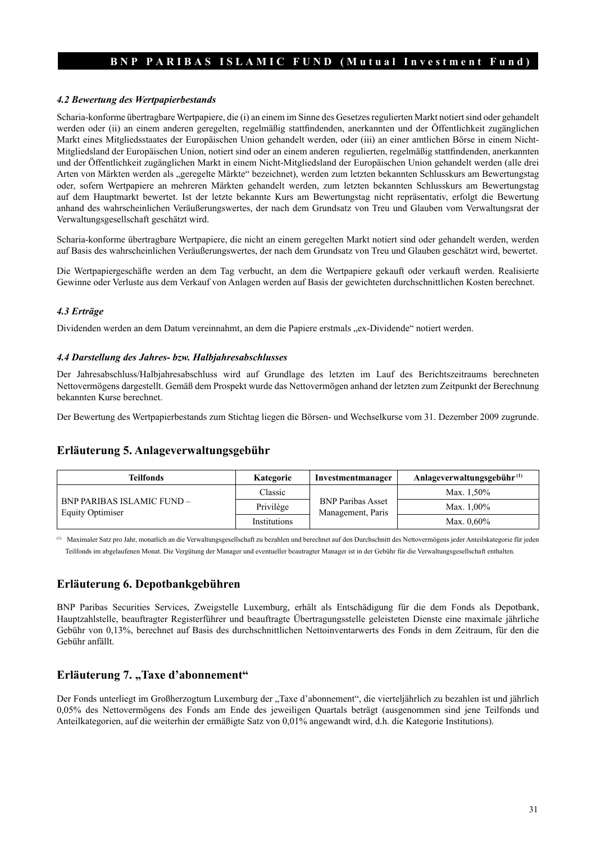#### *4.2 Bewertung des Wertpapierbestands*

Scharia-konforme übertragbare Wertpapiere, die (i) an einem im Sinne des Gesetzes regulierten Markt notiert sind oder gehandelt werden oder (ii) an einem anderen geregelten, regelmäßig stattfindenden, anerkannten und der Öffentlichkeit zugänglichen Markt eines Mitgliedsstaates der Europäischen Union gehandelt werden, oder (iii) an einer amtlichen Börse in einem Nicht-Mitgliedsland der Europäischen Union, notiert sind oder an einem anderen regulierten, regelmäßig stattfindenden, anerkannten und der Öffentlichkeit zugänglichen Markt in einem Nicht-Mitgliedsland der Europäischen Union gehandelt werden (alle drei Arten von Märkten werden als "geregelte Märkte" bezeichnet), werden zum letzten bekannten Schlusskurs am Bewertungstag oder, sofern Wertpapiere an mehreren Märkten gehandelt werden, zum letzten bekannten Schlusskurs am Bewertungstag auf dem Hauptmarkt bewertet. Ist der letzte bekannte Kurs am Bewertungstag nicht repräsentativ, erfolgt die Bewertung anhand des wahrscheinlichen Veräußerungswertes, der nach dem Grundsatz von Treu und Glauben vom Verwaltungsrat der Verwaltungsgesellschaft geschätzt wird.

Scharia-konforme übertragbare Wertpapiere, die nicht an einem geregelten Markt notiert sind oder gehandelt werden, werden auf Basis des wahrscheinlichen Veräußerungswertes, der nach dem Grundsatz von Treu und Glauben geschätzt wird, bewertet.

Die Wertpapiergeschäfte werden an dem Tag verbucht, an dem die Wertpapiere gekauft oder verkauft werden. Realisierte Gewinne oder Verluste aus dem Verkauf von Anlagen werden auf Basis der gewichteten durchschnittlichen Kosten berechnet.

#### *4.3 Erträge*

Dividenden werden an dem Datum vereinnahmt, an dem die Papiere erstmals "ex-Dividende" notiert werden.

#### *4.4 Darstellung des Jahres- bzw. Halbjahresabschlusses*

Der Jahresabschluss/Halbjahresabschluss wird auf Grundlage des letzten im Lauf des Berichtszeitraums berechneten Nettovermögens dargestellt. Gemäß dem Prospekt wurde das Nettovermögen anhand der letzten zum Zeitpunkt der Berechnung bekannten Kurse berechnet.

Der Bewertung des Wertpapierbestands zum Stichtag liegen die Börsen- und Wechselkurse vom 31. Dezember 2009 zugrunde.

#### **Erläuterung 5. Anlageverwaltungsgebühr**

| Teilfonds                                                    | Kategorie    | Investmentmanager                             | Anlageverwaltungsgebühr $^{(1)}$ |
|--------------------------------------------------------------|--------------|-----------------------------------------------|----------------------------------|
|                                                              | Classic      |                                               | Max. 1,50%                       |
| <b>BNP PARIBAS ISLAMIC FUND -</b><br><b>Equity Optimiser</b> | Privilège    | <b>BNP Paribas Asset</b><br>Management, Paris | Max. 1.00%                       |
|                                                              | Institutions |                                               | Max. 0.60%                       |

(1) Maximaler Satz pro Jahr, monatlich an die Verwaltungsgesellschaft zu bezahlen und berechnet auf den Durchschnitt des Nettovermögens jeder Anteilskategorie für jeden Teilfonds im abgelaufenen Monat. Die Vergütung der Manager und eventueller beautragter Manager ist in der Gebühr für die Verwaltungsgesellschaft enthalten.

#### **Erläuterung 6. Depotbankgebühren**

BNP Paribas Securities Services, Zweigstelle Luxemburg, erhält als Entschädigung für die dem Fonds als Depotbank, Hauptzahlstelle, beauftragter Registerführer und beauftragte Übertragungsstelle geleisteten Dienste eine maximale jährliche Gebühr von 0,13%, berechnet auf Basis des durchschnittlichen Nettoinventarwerts des Fonds in dem Zeitraum, für den die Gebühr anfällt.

#### **Erläuterung 7. "Taxe d'abonnement"**

Der Fonds unterliegt im Großherzogtum Luxemburg der "Taxe d'abonnement", die vierteljährlich zu bezahlen ist und jährlich 0,05% des Nettovermögens des Fonds am Ende des jeweiligen Quartals beträgt (ausgenommen sind jene Teilfonds und Anteilkategorien, auf die weiterhin der ermäßigte Satz von 0,01% angewandt wird, d.h. die Kategorie Institutions).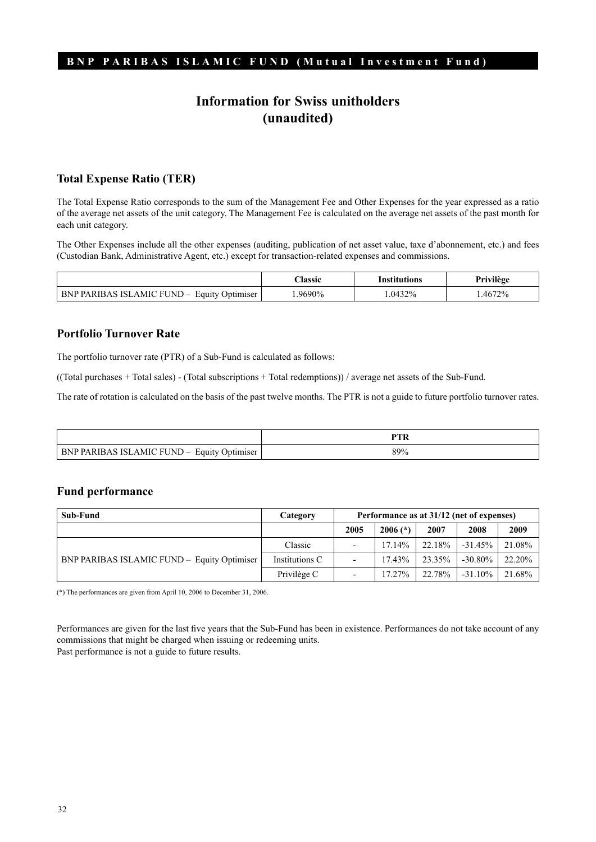# **Information for Swiss unitholders (unaudited)**

### **Total Expense Ratio (TER)**

The Total Expense Ratio corresponds to the sum of the Management Fee and Other Expenses for the year expressed as a ratio of the average net assets of the unit category. The Management Fee is calculated on the average net assets of the past month for each unit category.

The Other Expenses include all the other expenses (auditing, publication of net asset value, taxe d'abonnement, etc.) and fees (Custodian Bank, Administrative Agent, etc.) except for transaction-related expenses and commissions.

|                                                              | <b>lassic</b> | Institutions | <br>Privilége |
|--------------------------------------------------------------|---------------|--------------|---------------|
| <b>BNP PARIBAS ISLAMIC FUND -</b><br><b>Equity Optimiser</b> | 9690%         | $.0432\%$    | .4672%        |

### **Portfolio Turnover Rate**

The portfolio turnover rate (PTR) of a Sub-Fund is calculated as follows:

((Total purchases + Total sales) - (Total subscriptions + Total redemptions)) / average net assets of the Sub-Fund.

The rate of rotation is calculated on the basis of the past twelve months. The PTR is not a guide to future portfolio turnover rates.

| BNP PARIBAS ISLAMIC FUND –<br><b>Equity Optimiser</b> | 89% |
|-------------------------------------------------------|-----|

#### **Fund performance**

| Sub-Fund                                    | Category       | Performance as at 31/12 (net of expenses) |            |        |            |        |
|---------------------------------------------|----------------|-------------------------------------------|------------|--------|------------|--------|
|                                             |                | 2005                                      | $2006$ (*) | 2007   | 2008       | 2009   |
|                                             | Classic        |                                           | 1714%      | 22.18% | $-31.45\%$ | 21.08% |
| BNP PARIBAS ISLAMIC FUND - Equity Optimiser | Institutions C |                                           | $17.43\%$  | 23.35% | $-30.80\%$ | 22.20% |
|                                             | Privilège C    |                                           | $17.27\%$  | 22.78% | $-31.10\%$ | 21.68% |

(\*) The performances are given from April 10, 2006 to December 31, 2006.

Performances are given for the last five years that the Sub-Fund has been in existence. Performances do not take account of any commissions that might be charged when issuing or redeeming units. Past performance is not a guide to future results.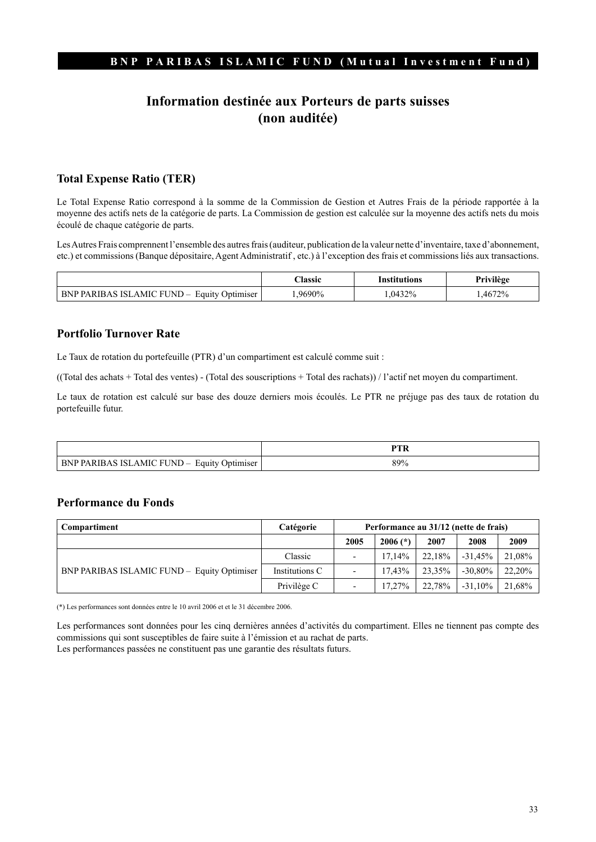# **Information destinée aux Porteurs de parts suisses (non auditée)**

### **Total Expense Ratio (TER)**

Le Total Expense Ratio correspond à la somme de la Commission de Gestion et Autres Frais de la période rapportée à la moyenne des actifs nets de la catégorie de parts. La Commission de gestion est calculée sur la moyenne des actifs nets du mois écoulé de chaque catégorie de parts.

Les Autres Frais comprennent l'ensemble des autres frais (auditeur, publication de la valeur nette d'inventaire, taxe d'abonnement, etc.) et commissions (Banque dépositaire, Agent Administratif , etc.) à l'exception des frais et commissions liés aux transactions.

|                                                | <b>Classic</b> | Institutions | Privilège |
|------------------------------------------------|----------------|--------------|-----------|
| BNP PARIBAS ISLAMIC FUND –<br>Equity Optimiser | 9690%          | 1.0432%      | .4672%    |

### **Portfolio Turnover Rate**

Le Taux de rotation du portefeuille (PTR) d'un compartiment est calculé comme suit :

((Total des achats + Total des ventes) - (Total des souscriptions + Total des rachats)) / l'actif net moyen du compartiment.

Le taux de rotation est calculé sur base des douze derniers mois écoulés. Le PTR ne préjuge pas des taux de rotation du portefeuille futur.

|                                                                                                                     | DTI |
|---------------------------------------------------------------------------------------------------------------------|-----|
| $\blacksquare$<br>RN.<br>Equity<br>.RIR∆<br>AMIC.<br>ELNL<br>Optimiser<br>PΛ<br>. .<br>. <u>.</u><br>$11 \text{ m}$ | 89% |

#### **Performance du Fonds**

| Compartiment                                | Catégorie      | Performance au 31/12 (nette de frais) |            |        |            |        |
|---------------------------------------------|----------------|---------------------------------------|------------|--------|------------|--------|
|                                             |                | 2005                                  | $2006$ (*) | 2007   | 2008       | 2009   |
| BNP PARIBAS ISLAMIC FUND - Equity Optimiser | Classic        |                                       | $17.14\%$  | 22.18% | $-31.45%$  | 21,08% |
|                                             | Institutions C |                                       | 17.43%     | 23.35% | $-30.80\%$ | 22,20% |
|                                             | Privilège C    |                                       | $17.27\%$  | 22.78% | $-31.10\%$ | 21,68% |

(\*) Les performances sont données entre le 10 avril 2006 et et le 31 décembre 2006.

Les performances sont données pour les cinq dernières années d'activités du compartiment. Elles ne tiennent pas compte des commissions qui sont susceptibles de faire suite à l'émission et au rachat de parts.

Les performances passées ne constituent pas une garantie des résultats futurs.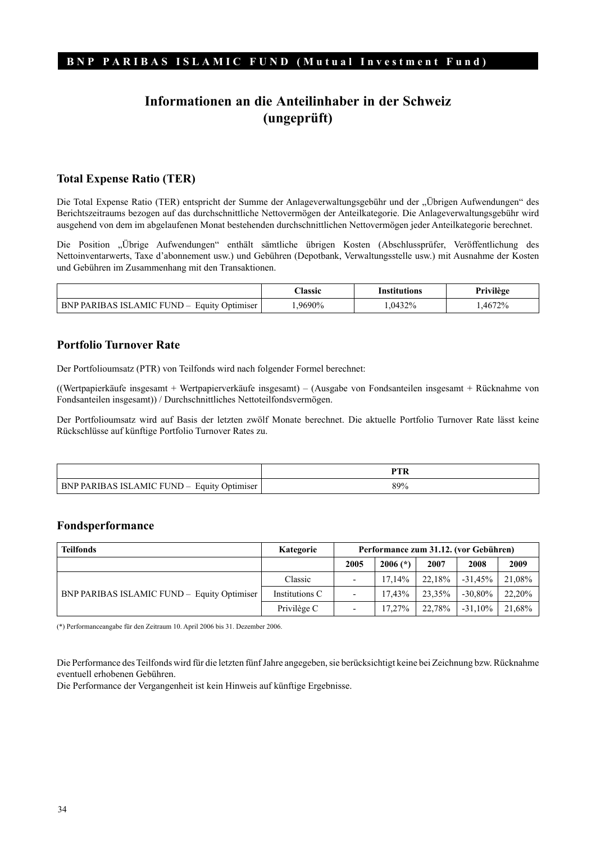# **Informationen an die Anteilinhaber in der Schweiz (ungeprüft)**

#### **Total Expense Ratio (TER)**

Die Total Expense Ratio (TER) entspricht der Summe der Anlageverwaltungsgebühr und der "Übrigen Aufwendungen" des Berichtszeitraums bezogen auf das durchschnittliche Nettovermögen der Anteilkategorie. Die Anlageverwaltungsgebühr wird ausgehend von dem im abgelaufenen Monat bestehenden durchschnittlichen Nettovermögen jeder Anteilkategorie berechnet.

Die Position "Übrige Aufwendungen" enthält sämtliche übrigen Kosten (Abschlussprüfer, Veröffentlichung des Nettoinventarwerts, Taxe d'abonnement usw.) und Gebühren (Depotbank, Verwaltungsstelle usw.) mit Ausnahme der Kosten und Gebühren im Zusammenhang mit den Transaktionen.

|                                             | <b>Classic</b> | Institutions | Privilège |
|---------------------------------------------|----------------|--------------|-----------|
| BNP PARIBAS ISLAMIC FUND – Equity Optimiser | 9690%          | .0432%       | .4672%    |

#### **Portfolio Turnover Rate**

Der Portfolioumsatz (PTR) von Teilfonds wird nach folgender Formel berechnet:

((Wertpapierkäufe insgesamt + Wertpapierverkäufe insgesamt) – (Ausgabe von Fondsanteilen insgesamt + Rücknahme von Fondsanteilen insgesamt)) / Durchschnittliches Nettoteilfondsvermögen.

Der Portfolioumsatz wird auf Basis der letzten zwölf Monate berechnet. Die aktuelle Portfolio Turnover Rate lässt keine Rückschlüsse auf künftige Portfolio Turnover Rates zu.

|                                                                                                    | ----- |
|----------------------------------------------------------------------------------------------------|-------|
| Equity<br>Þ٨<br><b>FUNI</b><br>AMIC.<br>Jptimiser<br>.<br>◡<br>the contract of the contract of the | 89%   |

#### **Fondsperformance**

| <b>Teilfonds</b>                            | Kategorie      | Performance zum 31.12. (vor Gebühren) |            |        |            |        |
|---------------------------------------------|----------------|---------------------------------------|------------|--------|------------|--------|
|                                             |                | 2005                                  | $2006$ (*) | 2007   | 2008       | 2009   |
| BNP PARIBAS ISLAMIC FUND - Equity Optimiser | Classic        |                                       | 17.14%     | 22.18% | $-31.45%$  | 21,08% |
|                                             | Institutions C |                                       | 17.43%     | 23.35% | $-30.80\%$ | 22,20% |
|                                             | Privilège C    | $\overline{\phantom{0}}$              | 17.27%     | 22.78% | $-31.10\%$ | 21,68% |

(\*) Performanceangabe für den Zeitraum 10. April 2006 bis 31. Dezember 2006.

Die Performance des Teilfonds wird für die letzten fünf Jahre angegeben, sie berücksichtigt keine bei Zeichnung bzw. Rücknahme eventuell erhobenen Gebühren.

Die Performance der Vergangenheit ist kein Hinweis auf künftige Ergebnisse.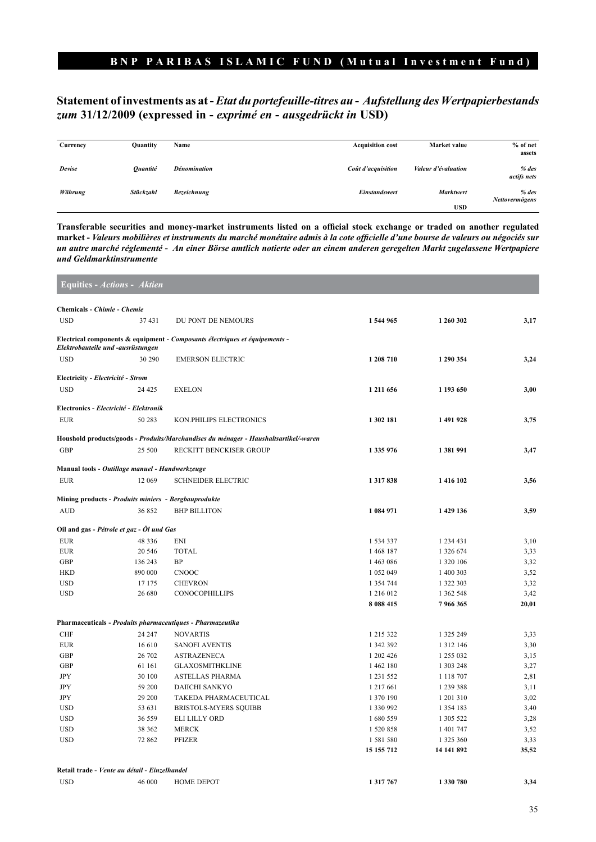### **Statement of investments as at -** *Etat du portefeuille-titres au* **-** *Aufstellung des Wertpapierbestands zum* **31/12/2009 (expressed in -** *exprimé en* **-** *ausgedrückt in* **USD)**

| Currency | <b>Quantity</b>        | Name                | <b>Acquisition cost</b><br>Market value   | % of net<br>assets        |
|----------|------------------------|---------------------|-------------------------------------------|---------------------------|
| Devise   | <i><b>Ouantité</b></i> | <b>Dénomination</b> | Valeur d'évaluation<br>Coût d'acquisition | $%$ des<br>actifs nets    |
| Währung  | Stückzahl              | <b>Bezeichnung</b>  | <b>Marktwert</b><br><b>Einstandswert</b>  | $%$ des<br>Nettovermögens |
|          |                        |                     | <b>USD</b>                                |                           |

**Transferable securities and money-market instruments listed on a official stock exchange or traded on another regulated market -** *Valeurs mobilières et instruments du marché monétaire admis à la cote officielle d'une bourse de valeurs ou négociés sur un autre marché réglementé* **-** *An einer Börse amtlich notierte oder an einem anderen geregelten Markt zugelassene Wertpapiere und Geldmarktinstrumente*

|            | <b>Equities - Actions - Aktien</b>                   |                                                                                      |            |               |       |
|------------|------------------------------------------------------|--------------------------------------------------------------------------------------|------------|---------------|-------|
|            | Chemicals - Chimie - Chemie                          |                                                                                      |            |               |       |
| <b>USD</b> | 37 431                                               | DU PONT DE NEMOURS                                                                   | 1 544 965  | 1 260 302     | 3,17  |
|            | Elektrobauteile und -ausrüstungen                    | Electrical components & equipment - Composants électriques et équipements -          |            |               |       |
| <b>USD</b> | 30 290                                               | <b>EMERSON ELECTRIC</b>                                                              | 1 208 710  | 1 290 354     | 3,24  |
|            | Electricity - Electricité - Strom                    |                                                                                      |            |               |       |
| <b>USD</b> | 24 4 25                                              | <b>EXELON</b>                                                                        | 1 211 656  | 1 193 650     | 3,00  |
|            | Electronics - Electricité - Elektronik               |                                                                                      |            |               |       |
| <b>EUR</b> | 50 283                                               | KON.PHILIPS ELECTRONICS                                                              | 1 302 181  | 1 491 928     | 3,75  |
|            |                                                      | Houshold products/goods - Produits/Marchandises du ménager - Haushaltsartikel/-waren |            |               |       |
| <b>GBP</b> | 25 500                                               | RECKITT BENCKISER GROUP                                                              | 1 335 976  | 1 381 991     | 3,47  |
|            | Manual tools - Outillage manuel - Handwerkzeuge      |                                                                                      |            |               |       |
| <b>EUR</b> | 12 069                                               | <b>SCHNEIDER ELECTRIC</b>                                                            | 1317838    | 1 416 102     | 3,56  |
|            | Mining products - Produits miniers - Bergbauprodukte |                                                                                      |            |               |       |
| <b>AUD</b> | 36 852                                               | <b>BHP BILLITON</b>                                                                  | 1 084 971  | 1 429 136     | 3,59  |
|            | Oil and gas - Pétrole et gaz - Öl und Gas            |                                                                                      |            |               |       |
| <b>EUR</b> | 48 336                                               | <b>ENI</b>                                                                           | 1 534 337  | 1 234 431     | 3,10  |
| <b>EUR</b> | 20 546                                               | <b>TOTAL</b>                                                                         | 1 468 187  | 1 326 674     | 3,33  |
| <b>GBP</b> | 136 243                                              | <b>BP</b>                                                                            | 1 463 086  | 1 320 106     | 3,32  |
| <b>HKD</b> | 890 000                                              | <b>CNOOC</b>                                                                         | 1 052 049  | 1 400 303     | 3,52  |
| <b>USD</b> | 17 175                                               | <b>CHEVRON</b>                                                                       | 1 354 744  | 1 322 303     | 3,32  |
| <b>USD</b> | 26 680                                               | <b>CONOCOPHILLIPS</b>                                                                | 1 216 012  | 1 362 548     | 3,42  |
|            |                                                      |                                                                                      | 8 088 415  | 7966365       | 20,01 |
|            |                                                      | Pharmaceuticals - Produits pharmaceutiques - Pharmazeutika                           |            |               |       |
| <b>CHF</b> | 24 247                                               | <b>NOVARTIS</b>                                                                      | 1 215 322  | 1 325 249     | 3,33  |
| <b>EUR</b> | 16 610                                               | <b>SANOFI AVENTIS</b>                                                                | 1 342 392  | 1 3 1 2 1 4 6 | 3,30  |
| <b>GBP</b> | 26 702                                               | <b>ASTRAZENECA</b>                                                                   | 1 202 426  | 1 255 032     | 3,15  |
| <b>GBP</b> | 61 161                                               | <b>GLAXOSMITHKLINE</b>                                                               | 1 462 180  | 1 303 248     | 3,27  |
| <b>JPY</b> | 30 100                                               | <b>ASTELLAS PHARMA</b>                                                               | 1 231 552  | 1 1 1 8 7 0 7 | 2,81  |
| <b>JPY</b> | 59 200                                               | <b>DAIICHI SANKYO</b>                                                                | 1 217 661  | 1 239 388     | 3,11  |
| <b>JPY</b> | 29 200                                               | TAKEDA PHARMACEUTICAL                                                                | 1 370 190  | 1 201 310     | 3,02  |
| <b>USD</b> | 53 631                                               | <b>BRISTOLS-MYERS SOUIBB</b>                                                         | 1 330 992  | 1 3 5 4 1 8 3 | 3,40  |
| <b>USD</b> | 36 559                                               | <b>ELI LILLY ORD</b>                                                                 | 1680559    | 1 305 522     | 3,28  |
| <b>USD</b> | 38 362                                               | <b>MERCK</b>                                                                         | 1 520 858  | 1 401 747     | 3,52  |
| <b>USD</b> | 72 862                                               | <b>PFIZER</b>                                                                        | 1 581 580  | 1 325 360     | 3,33  |
|            |                                                      |                                                                                      | 15 155 712 | 14 141 892    | 35,52 |
|            | Retail trade - Vente au détail - Einzelhandel        |                                                                                      |            |               |       |
| <b>USD</b> | 46 000                                               | <b>HOME DEPOT</b>                                                                    | 1 317 767  | 1 330 780     | 3,34  |
|            |                                                      |                                                                                      |            |               |       |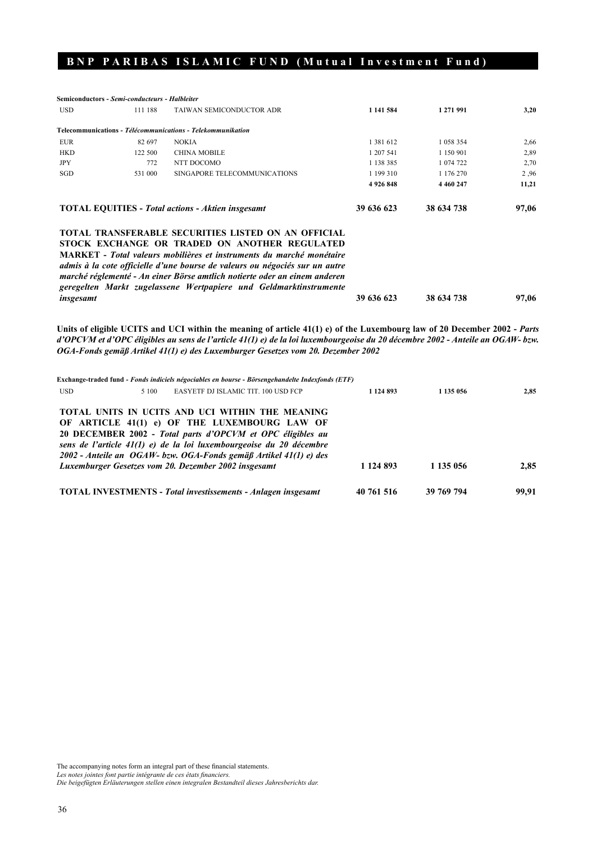|                                                          | <b>Semiconductors - Semi-conducteurs - Halbleiter</b> |                                                                                                                                                                                                                                                                                                                                                                                                                             |            |             |       |
|----------------------------------------------------------|-------------------------------------------------------|-----------------------------------------------------------------------------------------------------------------------------------------------------------------------------------------------------------------------------------------------------------------------------------------------------------------------------------------------------------------------------------------------------------------------------|------------|-------------|-------|
| <b>USD</b>                                               | 111 188                                               | TAIWAN SEMICONDUCTOR ADR                                                                                                                                                                                                                                                                                                                                                                                                    | 1 141 584  | 1 271 991   | 3,20  |
|                                                          |                                                       | Telecommunications - Télécommunications - Telekommunikation                                                                                                                                                                                                                                                                                                                                                                 |            |             |       |
| <b>EUR</b>                                               | 82 697                                                | <b>NOKIA</b>                                                                                                                                                                                                                                                                                                                                                                                                                | 1 381 612  | 1 058 354   | 2,66  |
| <b>HKD</b>                                               | 122 500                                               | <b>CHINA MOBILE</b>                                                                                                                                                                                                                                                                                                                                                                                                         | 1 207 541  | 1 150 901   | 2,89  |
| <b>JPY</b>                                               | 772                                                   | NTT DOCOMO                                                                                                                                                                                                                                                                                                                                                                                                                  | 1 138 385  | 1 074 722   | 2,70  |
| SGD                                                      | 531 000                                               | SINGAPORE TELECOMMUNICATIONS                                                                                                                                                                                                                                                                                                                                                                                                | 1 199 310  | 1 176 270   | 2.96  |
|                                                          |                                                       |                                                                                                                                                                                                                                                                                                                                                                                                                             | 4926848    | 4 4 60 2 47 | 11,21 |
| <b>TOTAL EQUITIES - Total actions - Aktien insgesamt</b> |                                                       |                                                                                                                                                                                                                                                                                                                                                                                                                             | 39 636 623 | 38 634 738  | 97,06 |
| insgesamt                                                |                                                       | <b>TOTAL TRANSFERABLE SECURITIES LISTED ON AN OFFICIAL</b><br>STOCK EXCHANGE OR TRADED ON ANOTHER REGULATED<br><b>MARKET</b> - Total valeurs mobilières et instruments du marché monétaire<br>admis à la cote officielle d'une bourse de valeurs ou négociés sur un autre<br>marché réglementé - An einer Börse amtlich notierte oder an einem anderen<br>geregelten Markt zugelassene Wertpapiere und Geldmarktinstrumente | 39 636 623 | 38 634 738  | 97,06 |

Units of eligible UCITS and UCI within the meaning of article 41(1) e) of the Luxembourg law of 20 December 2002 - Parts *d'OPCVM et d'OPC éligibles au sens de l'article 41(1) e) de la loi luxembourgeoise du 20 décembre 2002* **-** *Anteile an OGAW- bzw. OGA-Fonds gemäß Artikel 41(1) e) des Luxemburger Gesetzes vom 20. Dezember 2002*

| Exchange-traded fund - Fonds indiciels négociables en bourse - Börsengehandelte Indexfonds (ETF) |            |            |       |  |  |
|--------------------------------------------------------------------------------------------------|------------|------------|-------|--|--|
| <b>USD</b><br>EASYETF DJ ISLAMIC TIT. 100 USD FCP<br>5 100                                       | 1 124 893  | 1 135 056  | 2,85  |  |  |
| TOTAL UNITS IN UCITS AND UCI WITHIN THE MEANING<br>OF ARTICLE 41(1) e) OF THE LUXEMBOURG LAW OF  |            |            |       |  |  |
| 20 DECEMBER 2002 - Total parts d'OPCVM et OPC éligibles au                                       |            |            |       |  |  |
| sens de l'article 41(1) e) de la loi luxembourgeoise du 20 décembre                              |            |            |       |  |  |
| 2002 - Anteile an $OGAW$ - bzw. OGA-Fonds gemäß Artikel 41(1) e) des                             |            |            |       |  |  |
| Luxemburger Gesetzes vom 20. Dezember 2002 insgesamt                                             | 1 124 893  | 1 135 056  | 2.85  |  |  |
| <b>TOTAL INVESTMENTS - Total investissements - Anlagen insgesamt</b>                             | 40 761 516 | 39 769 794 | 99.91 |  |  |

The accompanying notes form an integral part of these financial statements.

*Les notes jointes font partie intégrante de ces états financiers.*

*Die beigefügten Erläuterungen stellen einen integralen Bestandteil dieses Jahresberichts dar.*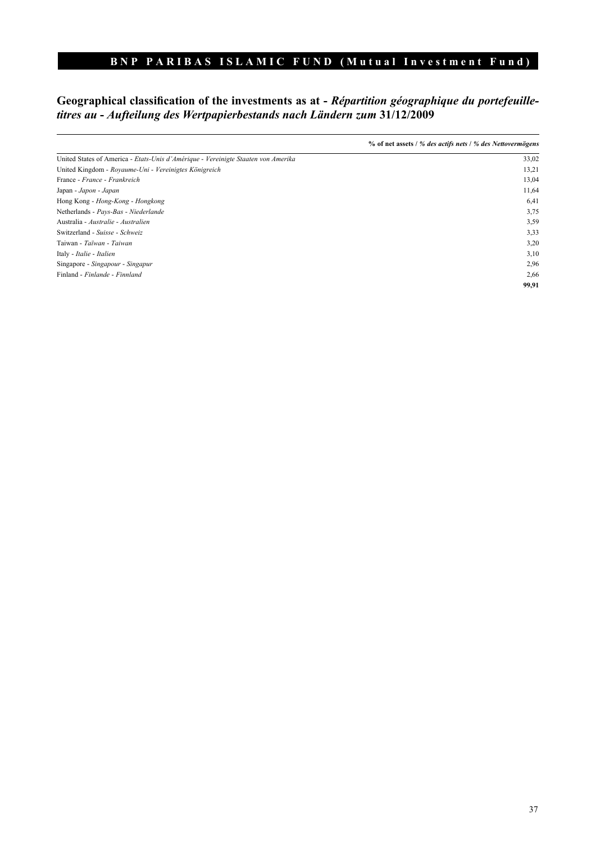# **Geographical classification of the investments as at -** *Répartition géographique du portefeuilletitres au* **-** *Aufteilung des Wertpapierbestands nach Ländern zum* **31/12/2009**

|                                                                                   | % of net assets / % des actifs nets / % des Nettovermögens |
|-----------------------------------------------------------------------------------|------------------------------------------------------------|
| United States of America - Etats-Unis d'Amérique - Vereinigte Staaten von Amerika | 33,02                                                      |
| United Kingdom - Royaume-Uni - Vereinigtes Königreich                             | 13,21                                                      |
| France - France - Frankreich                                                      | 13,04                                                      |
| Japan - Japon - Japan                                                             | 11,64                                                      |
| Hong Kong - Hong-Kong - Hongkong                                                  | 6,41                                                       |
| Netherlands - Pays-Bas - Niederlande                                              | 3,75                                                       |
| Australia - Australie - Australien                                                | 3,59                                                       |
| Switzerland - Suisse - Schweiz                                                    | 3,33                                                       |
| Taiwan - Taïwan - Taiwan                                                          | 3,20                                                       |
| Italy - Italie - Italien                                                          | 3,10                                                       |
| Singapore - Singapour - Singapur                                                  | 2,96                                                       |
| Finland - Finlande - Finnland                                                     | 2,66                                                       |
|                                                                                   | 99,91                                                      |